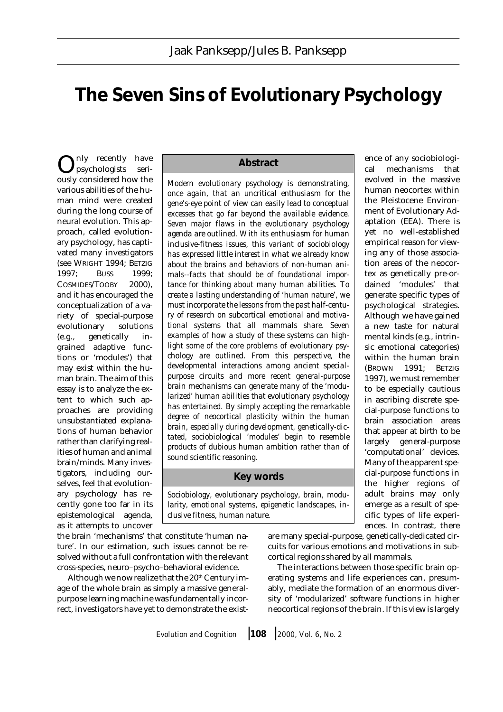# **The Seven Sins of Evolutionary Psychology**

nly recently have psychologists seri- $\bigodot_{\text{psychologists}}^{\text{nly}~\text{recently}}$  have various abilities of the human mind were created during the long course of neural evolution. This approach, called evolutionary psychology, has captivated many investigators (see WRIGHT 1994; BETZIG 1997; BUSS 1999; COSMIDES/TOOBY 2000), and it has encouraged the conceptualization of a variety of special-purpose evolutionary solutions (e.g., genetically ingrained adaptive functions or 'modules') that may exist within the human brain. The aim of this essay is to analyze the extent to which such approaches are providing unsubstantiated explanations of human behavior rather than clarifying realities of human and animal brain/minds. Many investigators, including ourselves, feel that evolutionary psychology has recently gone too far in its epistemological agenda, as it attempts to uncover

## **Abstract**

*Modern evolutionary psychology is demonstrating, once again, that an uncritical enthusiasm for the gene's-eye point of view can easily lead to conceptual excesses that go far beyond the available evidence. Seven major flaws in the evolutionary psychology agenda are outlined. With its enthusiasm for human inclusive-fitness issues, this variant of sociobiology has expressed little interest in what we already know about the brains and behaviors of non-human animals--facts that should be of foundational importance for thinking about many human abilities. To create a lasting understanding of 'human nature', we must incorporate the lessons from the past half-century of research on subcortical emotional and motivational systems that all mammals share. Seven examples of how a study of these systems can highlight some of the core problems of evolutionary psychology are outlined. From this perspective, the developmental interactions among ancient specialpurpose circuits and more recent general-purpose brain mechanisms can generate many of the 'modularized' human abilities that evolutionary psychology has entertained. By simply accepting the remarkable degree of neocortical plasticity within the human brain, especially during development, genetically-dictated, sociobiological 'modules' begin to resemble products of dubious human ambition rather than of sound scientific reasoning.*

# **Key words**

*Sociobiology, evolutionary psychology, brain, modularity, emotional systems, epigenetic landscapes, inclusive fitness, human nature.*

the brain 'mechanisms' that constitute 'human nature'. In our estimation, such issues cannot be resolved without a full confrontation with the relevant cross-species, neuro–psycho–behavioral evidence.

Although we now realize that the  $20<sup>th</sup>$  Century image of the whole brain as simply a massive generalpurpose learning machine was fundamentally incorrect, investigators have yet to demonstrate the exist-

are many special-purpose, genetically-dedicated circuits for various emotions and motivations in subcortical regions shared by all mammals.

The interactions between those specific brain operating systems and life experiences can, presumably, mediate the formation of an enormous diversity of 'modularized' software functions in higher neocortical regions of the brain. If this view is largely

*Evolution and Cognition* ❘ **<sup>108</sup>** ❘ *2000, Vol. 6, No. 2*

ence of any sociobiological mechanisms that evolved in the massive human neocortex within the Pleistocene Environment of Evolutionary Adaptation (EEA). There is yet no well-established empirical reason for viewing any of those association areas of the neocortex as genetically pre-ordained 'modules' that generate specific types of psychological strategies. Although we have gained a new taste for natural mental kinds (e.g., intrinsic emotional categories) within the human brain (BROWN 1991; BETZIG 1997), we must remember to be especially cautious in ascribing discrete special-purpose functions to brain association areas that appear at birth to be largely general-purpose 'computational' devices. Many of the apparent special-purpose functions in the higher regions of adult brains may only emerge as a result of specific types of life experiences. In contrast, there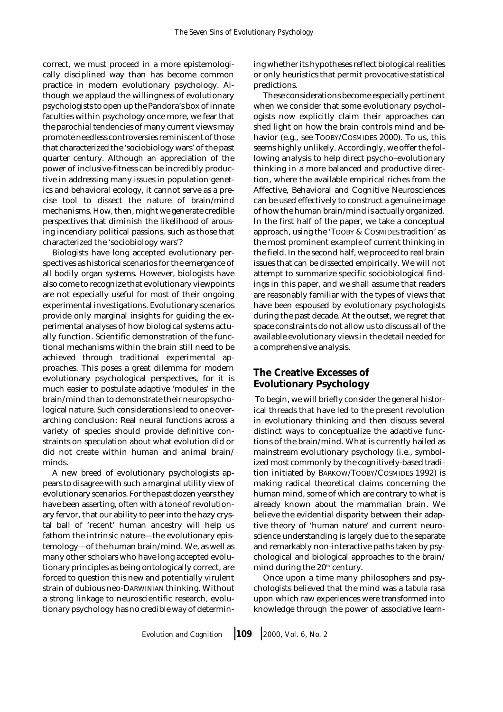correct, we must proceed in a more epistemologically disciplined way than has become common practice in modern evolutionary psychology. Although we applaud the willingness of evolutionary psychologists to open up the Pandora's box of innate faculties within psychology once more, we fear that the parochial tendencies of many current views may promote needless controversies reminiscent of those that characterized the 'sociobiology wars' of the past quarter century. Although an appreciation of the power of inclusive-fitness can be incredibly productive in addressing many issues in population genetics and behavioral ecology, it cannot serve as a precise tool to dissect the nature of brain/mind mechanisms. How, then, might we generate credible perspectives that diminish the likelihood of arousing incendiary political passions, such as those that characterized the 'sociobiology wars'?

Biologists have long accepted evolutionary perspectives as historical scenarios for the emergence of all bodily organ systems. However, biologists have also come to recognize that evolutionary viewpoints are not especially useful for most of their ongoing experimental investigations. Evolutionary scenarios provide only marginal insights for guiding the experimental analyses of how biological systems actually function. Scientific demonstration of the functional mechanisms within the brain still need to be achieved through traditional experimental approaches. This poses a great dilemma for modern evolutionary psychological perspectives, for it is much easier to postulate adaptive 'modules' in the brain/mind than to demonstrate their neuropsychological nature. Such considerations lead to one overarching conclusion: Real neural functions across a variety of species should provide definitive constraints on speculation about what evolution did or did not create within human and animal brain/ minds.

A new breed of evolutionary psychologists appears to disagree with such a marginal utility view of evolutionary scenarios. For the past dozen years they have been asserting, often with a tone of revolutionary fervor, that our ability to peer into the hazy crystal ball of 'recent' human ancestry will help us fathom the intrinsic nature—the evolutionary epistemology—of the human brain/mind. We, as well as many other scholars who have long accepted evolutionary principles as being ontologically correct, are forced to question this new and potentially virulent strain of dubious neo-DARWINIAN thinking. Without a strong linkage to neuroscientific research, evolutionary psychology has no credible way of determining whether its hypotheses reflect biological realities or only heuristics that permit provocative statistical predictions.

These considerations become especially pertinent when we consider that some evolutionary psychologists now explicitly claim their approaches can shed light on how the brain controls mind and behavior (e.g., see TOOBY/COSMIDES 2000). To us, this seems highly unlikely. Accordingly, we offer the following analysis to help direct psycho–evolutionary thinking in a more balanced and productive direction, where the available empirical riches from the Affective, Behavioral and Cognitive Neurosciences can be used effectively to construct a genuine image of how the human brain/mind is actually organized. In the first half of the paper, we take a conceptual approach, using the 'TOOBY & COSMIDES tradition' as the most prominent example of current thinking in the field. In the second half, we proceed to real brain issues that can be dissected empirically. We will not attempt to summarize specific sociobiological findings in this paper, and we shall assume that readers are reasonably familiar with the types of views that have been espoused by evolutionary psychologists during the past decade. At the outset, we regret that space constraints do not allow us to discuss all of the available evolutionary views in the detail needed for a comprehensive analysis.

# **The Creative Excesses of Evolutionary Psychology**

 To begin, we will briefly consider the general historical threads that have led to the present revolution in evolutionary thinking and then discuss several distinct ways to conceptualize the adaptive functions of the brain/mind. What is currently hailed as mainstream evolutionary psychology (i.e., symbolized most commonly by the cognitively-based tradition initiated by BARKOW/TOOBY/COSMIDES 1992) is making radical theoretical claims concerning the human mind, some of which are contrary to what is already known about the mammalian brain. We believe the evidential disparity between their adaptive theory of 'human nature' and current neuroscience understanding is largely due to the separate and remarkably non-interactive paths taken by psychological and biological approaches to the brain/ mind during the 20<sup>th</sup> century.

Once upon a time many philosophers and psychologists believed that the mind was a *tabula rasa* upon which raw experiences were transformed into knowledge through the power of associative learn-

*Evolution and Cognition* ❘ **<sup>109</sup>** ❘ *2000, Vol. 6, No. 2*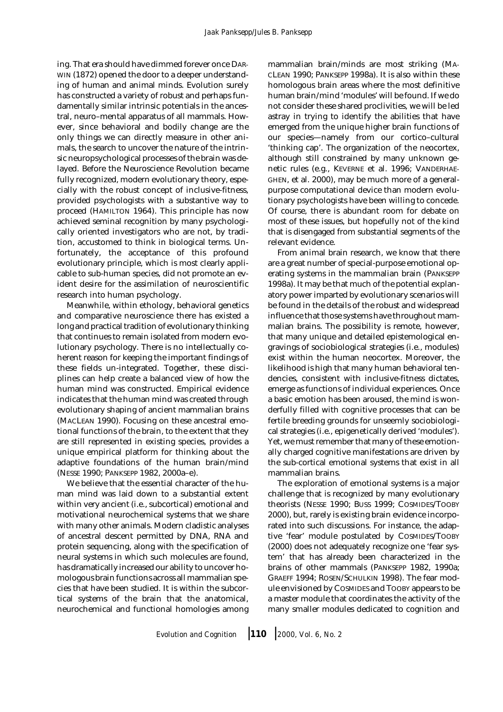ing. That era should have dimmed forever once DAR-WIN (1872) opened the door to a deeper understanding of human and animal minds. Evolution surely has constructed a variety of robust and perhaps fundamentally similar intrinsic potentials in the ancestral, neuro–mental apparatus of all mammals. However, since behavioral and bodily change are the only things we can directly measure in other animals, the search to uncover the nature of the intrinsic neuropsychological processes of the brain was delayed. Before the Neuroscience Revolution became fully recognized, modern evolutionary theory, especially with the robust concept of inclusive-fitness, provided psychologists with a substantive way to proceed (HAMILTON 1964). This principle has now achieved seminal recognition by many psychologically oriented investigators who are not, by tradition, accustomed to think in biological terms. Unfortunately, the acceptance of this profound evolutionary principle, which is most clearly applicable to sub-human species, did not promote an evident desire for the assimilation of neuroscientific research into human psychology.

Meanwhile, within ethology, behavioral genetics and comparative neuroscience there has existed a long and practical tradition of evolutionary thinking that continues to remain isolated from modern evolutionary psychology. There is no intellectually coherent reason for keeping the important findings of these fields un-integrated. Together, these disciplines can help create a balanced view of how the human mind was constructed. Empirical evidence indicates that the human mind was created through evolutionary shaping of ancient mammalian brains (MACLEAN 1990). Focusing on these ancestral emotional functions of the brain, to the extent that they are still represented in existing species, provides a unique empirical platform for thinking about the adaptive foundations of the human brain/mind (NESSE 1990; PANKSEPP 1982, 2000a–e).

We believe that the essential character of the human mind was laid down to a substantial extent within very ancient (i.e., subcortical) emotional and motivational neurochemical systems that we share with many other animals. Modern cladistic analyses of ancestral descent permitted by DNA, RNA and protein sequencing, along with the specification of neural systems in which such molecules are found, has dramatically increased our ability to uncover homologous brain functions across all mammalian species that have been studied. It is within the subcortical systems of the brain that the anatomical, neurochemical and functional homologies among

mammalian brain/minds are most striking (MA-CLEAN 1990; PANKSEPP 1998a). It is also within these homologous brain areas where the most definitive human brain/mind 'modules' will be found. If we do not consider these shared proclivities, we will be led astray in trying to identify the abilities that have emerged from the unique higher brain functions of our species—namely from our cortico–cultural 'thinking cap'. The organization of the neocortex, although still constrained by many unknown genetic rules (e.g., KEVERNE et al. 1996; VANDERHAE-GHEN, et al. 2000), may be much more of a generalpurpose computational device than modern evolutionary psychologists have been willing to concede. Of course, there is abundant room for debate on most of these issues, but hopefully not of the kind that is disengaged from substantial segments of the relevant evidence.

From animal brain research, we know that there are a great number of special-purpose emotional operating systems in the mammalian brain (PANKSEPP 1998a). It may be that much of the potential explanatory power imparted by evolutionary scenarios will be found in the details of the robust and widespread influence that those systems have throughout mammalian brains. The possibility is remote, however, that many unique and detailed epistemological engravings of sociobiological strategies (i.e., modules) exist within the human neocortex. Moreover, the likelihood is high that many human behavioral tendencies, consistent with inclusive-fitness dictates, emerge as functions of individual experiences. Once a basic emotion has been aroused, the mind is wonderfully filled with cognitive processes that can be fertile breeding grounds for unseemly sociobiological strategies (i.e., epigenetically derived 'modules'). Yet, we must remember that many of these emotionally charged cognitive manifestations are driven by the sub-cortical emotional systems that exist in all mammalian brains.

The exploration of emotional systems is a major challenge that is recognized by many evolutionary theorists (NESSE 1990; BUSS 1999; COSMIDES/TOOBY 2000), but, rarely is existing brain evidence incorporated into such discussions. For instance, the adaptive 'fear' module postulated by COSMIDES/TOOBY (2000) does not adequately recognize one 'fear system' that has already been characterized in the brains of other mammals (PANKSEPP 1982, 1990a; GRAEFF 1994; ROSEN/SCHULKIN 1998). The fear module envisioned by COSMIDES and TOOBY appears to be a master module that coordinates the activity of the many smaller modules dedicated to cognition and

*Evolution and Cognition* ❘ **<sup>110</sup>** ❘ *2000, Vol. 6, No. 2*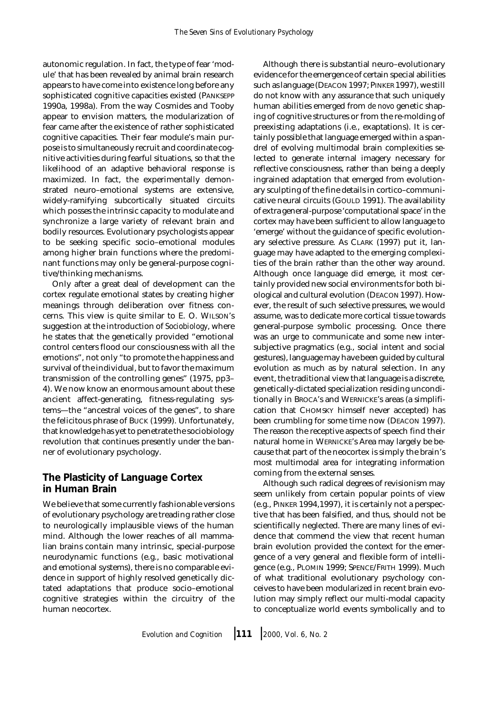autonomic regulation. In fact, the type of fear 'module' that has been revealed by animal brain research appears to have come into existence long before any sophisticated cognitive capacities existed (PANKSEPP 1990a, 1998a). From the way Cosmides and Tooby appear to envision matters, the modularization of fear came after the existence of rather sophisticated cognitive capacities. Their fear module's main purpose is to simultaneously recruit and coordinate cognitive activities during fearful situations, so that the likelihood of an adaptive behavioral response is maximized. In fact, the experimentally demonstrated neuro–emotional systems are extensive, widely-ramifying subcortically situated circuits which posses the intrinsic capacity to modulate and synchronize a large variety of relevant brain and bodily resources. Evolutionary psychologists appear to be seeking specific socio–emotional modules among higher brain functions where the predominant functions may only be general-purpose cognitive/thinking mechanisms.

Only after a great deal of development can the cortex regulate emotional states by creating higher meanings through deliberation over fitness concerns. This view is quite similar to E. O. WILSON's suggestion at the introduction of *Sociobiology*, where he states that the genetically provided "emotional control centers flood our consciousness with all the emotions", not only "to promote the happiness and survival of the individual, but to favor the maximum transmission of the controlling genes" (1975, pp3– 4). We now know an enormous amount about these ancient affect-generating, fitness-regulating systems—the "ancestral voices of the genes", to share the felicitous phrase of BUCK (1999). Unfortunately, that knowledge has yet to penetrate the sociobiology revolution that continues presently under the banner of evolutionary psychology.

# **The Plasticity of Language Cortex in Human Brain**

We believe that some currently fashionable versions of evolutionary psychology are treading rather close to neurologically implausible views of the human mind. Although the lower reaches of all mammalian brains contain many intrinsic, special-purpose neurodynamic functions (e.g., basic motivational and emotional systems), there is no comparable evidence in support of highly resolved genetically dictated adaptations that produce socio–emotional cognitive strategies within the circuitry of the human neocortex.

Although there is substantial neuro–evolutionary evidence for the emergence of certain special abilities such as language (DEACON 1997; PINKER 1997), we still do not know with any assurance that such uniquely human abilities emerged from *de novo* genetic shaping of cognitive structures or from the re-molding of preexisting adaptations (i.e., exaptations). It is certainly possible that language emerged within a spandrel of evolving multimodal brain complexities selected to generate internal imagery necessary for reflective consciousness, rather than being a deeply ingrained adaptation that emerged from evolutionary sculpting of the fine details in cortico–communicative neural circuits (GOULD 1991). The availability of extra general-purpose 'computational space' in the cortex may have been sufficient to allow language to 'emerge' without the guidance of specific evolutionary selective pressure. As CLARK (1997) put it, language may have adapted to the emerging complexities of the brain rather than the other way around. Although once language did emerge, it most certainly provided new social environments for both biological and cultural evolution (DEACON 1997). However, the result of such selective pressures, we would assume, was to dedicate more cortical tissue towards general-purpose symbolic processing. Once there was an urge to communicate and some new intersubjective pragmatics (e.g., social intent and social gestures), language may have been guided by cultural evolution as much as by natural selection. In any event, the traditional view that language is a discrete, genetically-dictated specialization residing unconditionally in BROCA's and WERNICKE's areas (a simplification that CHOMSKY himself never accepted) has been crumbling for some time now (DEACON 1997). The reason the receptive aspects of speech find their natural home in WERNICKE's Area may largely be because that part of the neocortex is simply the brain's most multimodal area for integrating information coming from the external senses.

Although such radical degrees of revisionism may seem unlikely from certain popular points of view (e.g., PINKER 1994,1997), it is certainly not a perspective that has been falsified, and thus, should not be scientifically neglected. There are many lines of evidence that commend the view that recent human brain evolution provided the context for the emergence of a very general and flexible form of intelligence (e.g., PLOMIN 1999; SPENCE/FRITH 1999). Much of what traditional evolutionary psychology conceives to have been modularized in recent brain evolution may simply reflect our multi-modal capacity to conceptualize world events symbolically and to

*Evolution and Cognition* ❘ **<sup>111</sup>** ❘ *2000, Vol. 6, No. 2*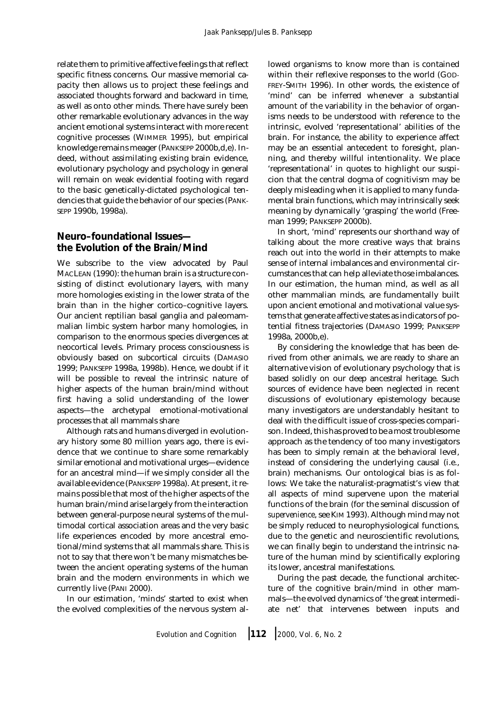relate them to primitive affective feelings that reflect specific fitness concerns. Our massive memorial capacity then allows us to project these feelings and associated thoughts forward and backward in time, as well as onto other minds. There have surely been other remarkable evolutionary advances in the way ancient emotional systems interact with more recent cognitive processes (WIMMER 1995), but empirical knowledge remains meager (PANKSEPP 2000b,d,e). Indeed, without assimilating existing brain evidence, evolutionary psychology and psychology in general will remain on weak evidential footing with regard to the basic genetically-dictated psychological tendencies that guide the behavior of our species (PANK-SEPP 1990b, 1998a).

# **Neuro–foundational Issues the Evolution of the Brain/Mind**

We subscribe to the view advocated by Paul MACLEAN (1990): the human brain is a structure consisting of distinct evolutionary layers, with many more homologies existing in the lower strata of the brain than in the higher cortico–cognitive layers. Our ancient reptilian basal ganglia and paleomammalian limbic system harbor many homologies, in comparison to the enormous species divergences at neocortical levels. Primary process consciousness is obviously based on subcortical circuits (DAMASIO 1999; PANKSEPP 1998a, 1998b). Hence, we doubt if it will be possible to reveal the intrinsic nature of higher aspects of the human brain/mind without first having a solid understanding of the lower aspects—the archetypal emotional-motivational processes that all mammals share

Although rats and humans diverged in evolutionary history some 80 million years ago, there is evidence that we continue to share some remarkably similar emotional and motivational urges—evidence for an ancestral mind—if we simply consider all the available evidence (PANKSEPP 1998a). At present, it remains possible that most of the higher aspects of the human brain/mind arise largely from the interaction between general-purpose neural systems of the multimodal cortical association areas and the very basic life experiences encoded by more ancestral emotional/mind systems that all mammals share. This is not to say that there won't be many mismatches between the ancient operating systems of the human brain and the modern environments in which we currently live (PANI 2000).

In our estimation, 'minds' started to exist when the evolved complexities of the nervous system al-

lowed organisms to know more than is contained within their reflexive responses to the world (GOD-FREY-SMITH 1996). In other words, the existence of 'mind' can be inferred whenever a substantial amount of the variability in the behavior of organisms needs to be understood with reference to the intrinsic, evolved 'representational' abilities of the brain. For instance, the ability to experience affect may be an essential antecedent to foresight, planning, and thereby willful intentionality. We place 'representational' in quotes to highlight our suspicion that the central dogma of cognitivism may be deeply misleading when it is applied to many fundamental brain functions, which may intrinsically seek meaning by dynamically 'grasping' the world (Freeman 1999; PANKSEPP 2000b).

In short, 'mind' represents our shorthand way of talking about the more creative ways that brains reach out into the world in their attempts to make sense of internal imbalances and environmental circumstances that can help alleviate those imbalances. In our estimation, the human mind, as well as all other mammalian minds, are fundamentally built upon ancient emotional and motivational value systems that generate affective states as indicators of potential fitness trajectories (DAMASIO 1999; PANKSEPP 1998a, 2000b,e).

By considering the knowledge that has been derived from other animals, we are ready to share an alternative vision of evolutionary psychology that is based solidly on our deep ancestral heritage. Such sources of evidence have been neglected in recent discussions of evolutionary epistemology because many investigators are understandably hesitant to deal with the difficult issue of cross-species comparison. Indeed, this has proved to be a most troublesome approach as the tendency of too many investigators has been to simply remain at the behavioral level, instead of considering the underlying causal (i.e., brain) mechanisms. Our ontological bias is as follows: We take the naturalist-pragmatist's view that all aspects of mind supervene upon the material functions of the brain (for the seminal discussion of *supervenience*, see KIM 1993). Although mind may not be simply reduced to neurophysiological functions, due to the genetic and neuroscientific revolutions, we can finally begin to understand the intrinsic nature of the human mind by scientifically exploring its lower, ancestral manifestations.

During the past decade, the functional architecture of the cognitive brain/mind in other mammals—the evolved dynamics of 'the great intermediate net' that intervenes between inputs and

*Evolution and Cognition* ❘ **<sup>112</sup>** ❘ *2000, Vol. 6, No. 2*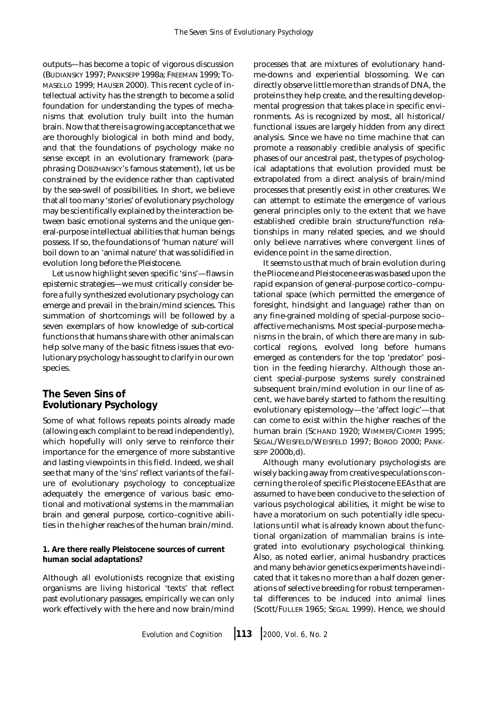outputs—has become a topic of vigorous discussion (BUDIANSKY 1997; PANKSEPP 1998a; FREEMAN 1999; TO-MASELLO 1999; HAUSER 2000). This recent cycle of intellectual activity has the strength to become a solid foundation for understanding the types of mechanisms that evolution truly built into the human brain. Now that there is a growing acceptance that we are thoroughly biological in both mind and body, and that the foundations of psychology make no sense except in an evolutionary framework (paraphrasing DOBZHANSKY's famous statement), let us be constrained by the evidence rather than captivated by the sea-swell of possibilities. In short, we believe that all too many 'stories' of evolutionary psychology may be scientifically explained by the interaction between basic emotional systems and the unique general-purpose intellectual abilities that human beings possess. If so, the foundations of 'human nature' will boil down to an 'animal nature' that was solidified in evolution long before the Pleistocene.

Let us now highlight seven specific 'sins'—flaws in epistemic strategies—we must critically consider before a fully synthesized evolutionary psychology can emerge and prevail in the brain/mind sciences. This summation of shortcomings will be followed by a seven exemplars of how knowledge of sub-cortical functions that humans share with other animals can help solve many of the basic fitness issues that evolutionary psychology has sought to clarify in our own species.

# **The Seven Sins of Evolutionary Psychology**

Some of what follows repeats points already made (allowing each complaint to be read independently), which hopefully will only serve to reinforce their importance for the emergence of more substantive and lasting viewpoints in this field. Indeed, we shall see that many of the 'sins' reflect variants of the failure of evolutionary psychology to conceptualize adequately the emergence of various basic emotional and motivational systems in the mammalian brain and general purpose, cortico–cognitive abilities in the higher reaches of the human brain/mind.

**1. Are there really Pleistocene sources of current human social adaptations?** 

Although all evolutionists recognize that existing organisms are living historical 'texts' that reflect past evolutionary passages, empirically we can only work effectively with the here and now brain/mind processes that are mixtures of evolutionary handme-downs and experiential blossoming. We can directly observe little more than strands of DNA, the proteins they help create, and the resulting developmental progression that takes place in specific environments. As is recognized by most, all historical/ functional issues are largely hidden from any direct analysis. Since we have no time machine that can promote a reasonably credible analysis of specific phases of our ancestral past, the types of psychological adaptations that evolution provided must be extrapolated from a direct analysis of brain/mind processes that presently exist in other creatures. We can attempt to estimate the emergence of various general principles only to the extent that we have established credible brain structure/function relationships in many related species, and we should only believe narratives where convergent lines of evidence point in the same direction.

It seems to us that much of brain evolution during the Pliocene and Pleistocene eras was based upon the rapid expansion of general-purpose cortico–computational space (which permitted the emergence of foresight, hindsight and language) rather than on any fine-grained molding of special-purpose socio– affective mechanisms. Most special-purpose mechanisms in the brain, of which there are many in subcortical regions, evolved long before humans emerged as contenders for the top 'predator' position in the feeding hierarchy. Although those ancient special-purpose systems surely constrained subsequent brain/mind evolution in our line of ascent, we have barely started to fathom the resulting evolutionary epistemology—the 'affect logic'—that can come to exist within the higher reaches of the human brain (SCHAND 1920; WIMMER/CIOMPI 1995; SEGAL/WEISFELD/WEISFELD 1997; BOROD 2000; PANK-SEPP 2000b,d).

Although many evolutionary psychologists are wisely backing away from creative speculations concerning the role of specific Pleistocene EEAs that are assumed to have been conducive to the selection of various psychological abilities, it might be wise to have a moratorium on such potentially idle speculations until what is already known about the functional organization of mammalian brains is integrated into evolutionary psychological thinking. Also, as noted earlier, animal husbandry practices and many behavior genetics experiments have indicated that it takes no more than a half dozen generations of selective breeding for robust temperamental differences to be induced into animal lines (Scott/FULLER 1965; SEGAL 1999). Hence, we should

*Evolution and Cognition* ❘ **<sup>113</sup>** ❘ *2000, Vol. 6, No. 2*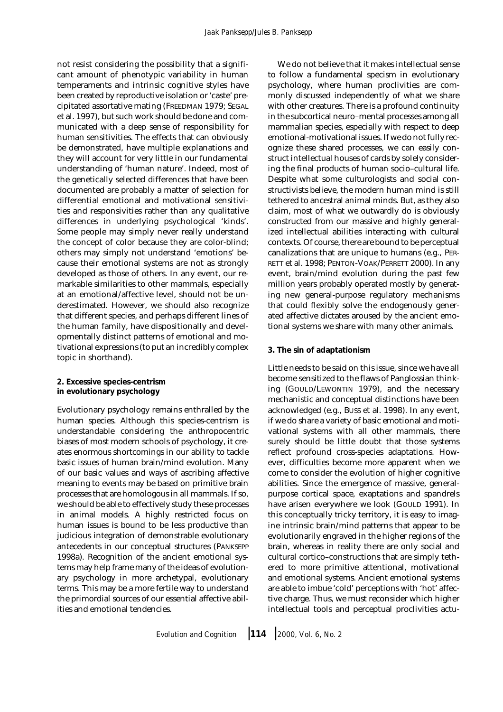not resist considering the possibility that a significant amount of phenotypic variability in human temperaments and intrinsic cognitive styles have been created by reproductive isolation or 'caste' precipitated assortative mating (FREEDMAN 1979; SEGAL et al. 1997), but such work should be done and communicated with a deep sense of responsibility for human sensitivities. The effects that can obviously be demonstrated, have multiple explanations and they will account for very little in our fundamental understanding of 'human nature'. Indeed, most of the genetically selected differences that have been documented are probably a matter of selection for differential emotional and motivational sensitivities and responsivities rather than any qualitative differences in underlying psychological 'kinds'. Some people may simply never really understand the concept of color because they are color-blind; others may simply not understand 'emotions' because their emotional systems are not as strongly developed as those of others. In any event, our remarkable similarities to other mammals, especially at an emotional/affective level, should not be underestimated. However, we should also recognize that different species, and perhaps different lines of the human family, have dispositionally and developmentally distinct patterns of emotional and motivational expressions (to put an incredibly complex topic in shorthand).

**2. Excessive species-centrism in evolutionary psychology**

Evolutionary psychology remains enthralled by the human species. Although this species-centrism is understandable considering the anthropocentric biases of most modern schools of psychology, it creates enormous shortcomings in our ability to tackle basic issues of human brain/mind evolution. Many of our basic values and ways of ascribing affective meaning to events may be based on primitive brain processes that are homologous in all mammals. If so, we should be able to effectively study these processes in animal models. A highly restricted focus on human issues is bound to be less productive than judicious integration of demonstrable evolutionary antecedents in our conceptual structures (PANKSEPP 1998a). Recognition of the ancient emotional systems may help frame many of the ideas of evolutionary psychology in more archetypal, evolutionary terms. This may be a more fertile way to understand the primordial sources of our essential affective abilities and emotional tendencies.

We do not believe that it makes intellectual sense to follow a fundamental specism in evolutionary psychology, where human proclivities are commonly discussed independently of what we share with other creatures. There is a profound continuity in the subcortical neuro–mental processes among all mammalian species, especially with respect to deep emotional-motivational issues. If we do not fully recognize these shared processes, we can easily construct intellectual houses of cards by solely considering the final products of human socio–cultural life. Despite what some culturologists and social constructivists believe, the modern human mind is still tethered to ancestral animal minds. But, as they also claim, most of what we outwardly do is obviously constructed from our massive and highly generalized intellectual abilities interacting with cultural contexts. Of course, there are bound to be perceptual canalizations that are unique to humans (e.g., PER-RETT et al. 1998; PENTON-VOAK/PERRETT 2000). In any event, brain/mind evolution during the past few million years probably operated mostly by generating new general-purpose regulatory mechanisms that could flexibly solve the endogenously generated affective dictates aroused by the ancient emotional systems we share with many other animals.

### **3. The sin of adaptationism**

Little needs to be said on this issue, since we have all become sensitized to the flaws of Panglossian thinking (GOULD/LEWONTIN 1979), and the necessary mechanistic and conceptual distinctions have been acknowledged (e.g., BUSS et al. 1998). In any event, if we do share a variety of basic emotional and motivational systems with all other mammals, there surely should be little doubt that those systems reflect profound cross-species adaptations. However, difficulties become more apparent when we come to consider the evolution of higher cognitive abilities. Since the emergence of massive, generalpurpose cortical space, exaptations and spandrels have arisen everywhere we look (GOULD 1991). In this conceptually tricky territory, it is easy to imagine intrinsic brain/mind patterns that appear to be evolutionarily engraved in the higher regions of the brain, whereas in reality there are only social and cultural cortico–constructions that are simply tethered to more primitive attentional, motivational and emotional systems. Ancient emotional systems are able to imbue 'cold' perceptions with 'hot' affective charge. Thus, we must reconsider which higher intellectual tools and perceptual proclivities actu-

*Evolution and Cognition* ❘ **<sup>114</sup>** ❘ *2000, Vol. 6, No. 2*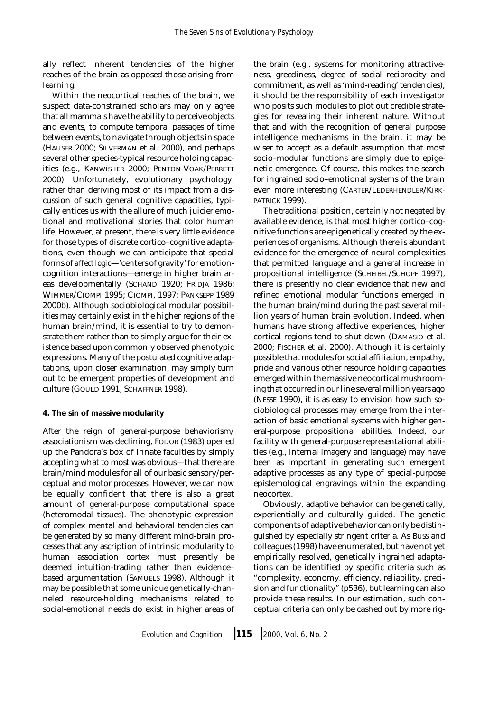ally reflect inherent tendencies of the higher reaches of the brain as opposed those arising from learning.

Within the neocortical reaches of the brain, we suspect data-constrained scholars may only agree that all mammals have the ability to perceive objects and events, to compute temporal passages of time between events, to navigate through objects in space (HAUSER 2000; SILVERMAN et al. 2000), and perhaps several other species-typical resource holding capacities (e.g., KANWISHER 2000; PENTON-VOAK/PERRETT 2000). Unfortunately, evolutionary psychology, rather than deriving most of its impact from a discussion of such general cognitive capacities, typically entices us with the allure of much juicier emotional and motivational stories that color human life. However, at present, there is very little evidence for those types of discrete cortico–cognitive adaptations, even though we can anticipate that special forms of *affect logic*—'centers of gravity' for emotioncognition interactions—emerge in higher brain areas developmentally (SCHAND 1920; FRIDJA 1986; WIMMER/CIOMPI 1995; CIOMPI, 1997; PANKSEPP 1989 2000b). Although sociobiological modular possibilities may certainly exist in the higher regions of the human brain/mind, it is essential to try to demonstrate them rather than to simply argue for their existence based upon commonly observed phenotypic expressions. Many of the postulated cognitive adaptations, upon closer examination, may simply turn out to be emergent properties of development and culture (GOULD 1991; SCHAFFNER 1998).

### **4. The sin of massive modularity**

After the reign of general-purpose behaviorism/ associationism was declining, FODOR (1983) opened up the Pandora's box of innate faculties by simply accepting what to most was obvious—that there are brain/mind modules for all of our basic sensory/perceptual and motor processes. However, we can now be equally confident that there is also a great amount of general-purpose computational space (heteromodal tissues). The phenotypic expression of complex mental and behavioral tendencies can be generated by so many different mind-brain processes that any ascription of intrinsic modularity to human association cortex must presently be deemed intuition-trading rather than evidence– based argumentation (SAMUELS 1998). Although it may be possible that some unique genetically-channeled resource-holding mechanisms related to social-emotional needs do exist in higher areas of the brain (e.g., systems for monitoring attractiveness, greediness, degree of social reciprocity and commitment, as well as 'mind-reading' tendencies), it should be the responsibility of each investigator who posits such modules to plot out credible strategies for revealing their inherent nature. Without that and with the recognition of general purpose intelligence mechanisms in the brain, it may be wiser to accept as a default assumption that most socio–modular functions are simply due to epigenetic emergence. Of course, this makes the search for ingrained socio–emotional systems of the brain even more interesting (CARTER/LEDERHENDLER/KIRK-PATRICK 1999).

The traditional position, certainly not negated by available evidence, is that most higher cortico–cognitive functions are epigenetically created by the experiences of organisms. Although there is abundant evidence for the emergence of neural complexities that permitted language and a general increase in propositional intelligence (SCHEIBEL/SCHOPF 1997), there is presently no clear evidence that new and refined emotional modular functions emerged in the human brain/mind during the past several million years of human brain evolution. Indeed, when humans have strong affective experiences, higher cortical regions tend to shut down (DAMASIO et al. 2000; FISCHER et al. 2000). Although it is certainly possible that modules for social affiliation, empathy, pride and various other resource holding capacities emerged within the massive neocortical mushrooming that occurred in our line several million years ago (NESSE 1990), it is as easy to envision how such sociobiological processes may emerge from the interaction of basic emotional systems with higher general-purpose propositional abilities. Indeed, our facility with general-purpose representational abilities (e.g., internal imagery and language) may have been as important in generating such emergent adaptive processes as any type of special-purpose epistemological engravings within the expanding neocortex.

Obviously, adaptive behavior can be genetically, experientially and culturally guided. The genetic components of adaptive behavior can only be distinguished by especially stringent criteria. As BUSS and colleagues (1998) have enumerated, but have not yet empirically resolved, genetically ingrained adaptations can be identified by specific criteria such as "complexity, economy, efficiency, reliability, precision and functionality" (p536), but learning can also provide these results. In our estimation, such conceptual criteria can only be cashed out by more rig-

*Evolution and Cognition* ❘ **<sup>115</sup>** ❘ *2000, Vol. 6, No. 2*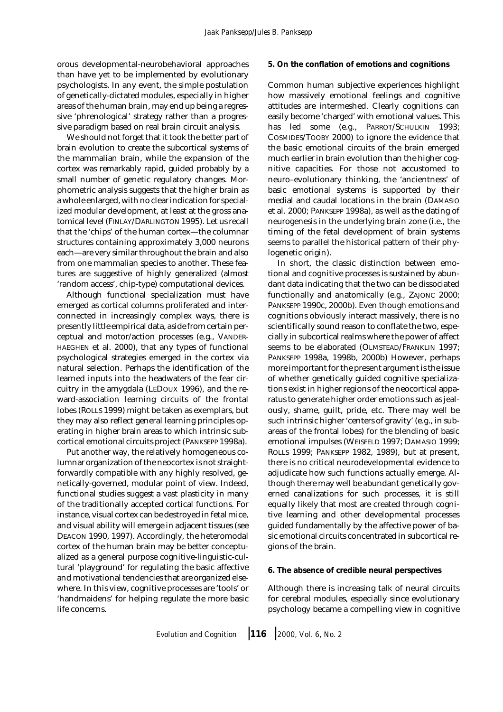orous developmental-neurobehavioral approaches than have yet to be implemented by evolutionary psychologists. In any event, the simple postulation of genetically-dictated modules, especially in higher areas of the human brain, may end up being a regressive 'phrenological' strategy rather than a progressive paradigm based on real brain circuit analysis.

We should not forget that it took the better part of brain evolution to create the subcortical systems of the mammalian brain, while the expansion of the cortex was remarkably rapid, guided probably by a small number of genetic regulatory changes. Morphometric analysis suggests that the higher brain as a whole enlarged, with no clear indication for specialized modular development, at least at the gross anatomical level (FINLAY/DARLINGTON 1995). Let us recall that the 'chips' of the human cortex—the columnar structures containing approximately 3,000 neurons each—are very similar throughout the brain and also from one mammalian species to another. These features are suggestive of highly generalized (almost 'random access', chip-type) computational devices.

Although functional specialization must have emerged as cortical columns proliferated and interconnected in increasingly complex ways, there is presently little empirical data, aside from certain perceptual and motor/action processes (e.g., VANDER-HAEGHEN et al. 2000), that any types of functional psychological strategies emerged in the cortex via natural selection. Perhaps the identification of the learned inputs into the headwaters of the fear circuitry in the amygdala (LEDOUX 1996), and the reward-association learning circuits of the frontal lobes (ROLLS 1999) might be taken as exemplars, but they may also reflect general learning principles operating in higher brain areas to which intrinsic subcortical emotional circuits project (PANKSEPP 1998a).

Put another way, the relatively homogeneous columnar organization of the neocortex is not straightforwardly compatible with any highly resolved, genetically-governed, modular point of view. Indeed, functional studies suggest a vast plasticity in many of the traditionally accepted cortical functions. For instance, visual cortex can be destroyed in fetal mice, and visual ability will emerge in adjacent tissues (see DEACON 1990, 1997). Accordingly, the heteromodal cortex of the human brain may be better conceptualized as a general purpose cognitive-linguistic-cultural 'playground' for regulating the basic affective and motivational tendencies that are organized elsewhere. In this view, cognitive processes are 'tools' or 'handmaidens' for helping regulate the more basic life concerns.

## **5. On the conflation of emotions and cognitions**

Common human subjective experiences highlight how massively emotional feelings and cognitive attitudes are intermeshed. Clearly cognitions can easily become 'charged' with emotional values. This has led some (e.g., PARROT/SCHULKIN 1993; COSMIDES/TOOBY 2000) to ignore the evidence that the basic emotional circuits of the brain emerged much earlier in brain evolution than the higher cognitive capacities. For those not accustomed to neuro–evolutionary thinking, the 'ancientness' of basic emotional systems is supported by their medial and caudal locations in the brain (DAMASIO et al. 2000; PANKSEPP 1998a), as well as the dating of neurogenesis in the underlying brain zone (i.e., the timing of the fetal development of brain systems seems to parallel the historical pattern of their phylogenetic origin).

In short, the classic distinction between emotional and cognitive processes is sustained by abundant data indicating that the two can be dissociated functionally and anatomically (e.g., ZAJONC 2000; PANKSEPP 1990c, 2000b). Even though emotions and cognitions obviously interact massively, there is no scientifically sound reason to conflate the two, especially in subcortical realms where the power of affect seems to be elaborated (OLMSTEAD/FRANKLIN 1997; PANKSEPP 1998a, 1998b, 2000b) However, perhaps more important for the present argument is the issue of whether genetically guided cognitive specializations exist in higher regions of the neocortical apparatus to generate higher order emotions such as jealously, shame, guilt, pride, etc. There may well be such intrinsic higher 'centers of gravity' (e.g., in subareas of the frontal lobes) for the blending of basic emotional impulses (WEISFELD 1997; DAMASIO 1999; ROLLS 1999; PANKSEPP 1982, 1989), but at present, there is no critical neurodevelopmental evidence to adjudicate how such functions actually emerge. Although there may well be abundant genetically governed canalizations for such processes, it is still equally likely that most are created through cognitive learning and other developmental processes guided fundamentally by the affective power of basic emotional circuits concentrated in subcortical regions of the brain.

### **6. The absence of credible neural perspectives**

Although there is increasing talk of neural circuits for cerebral modules, especially since evolutionary psychology became a compelling view in cognitive

*Evolution and Cognition* ❘ **<sup>116</sup>** ❘ *2000, Vol. 6, No. 2*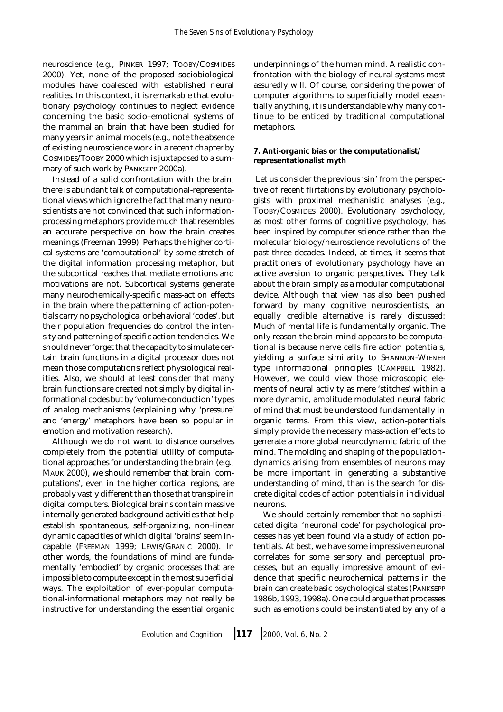neuroscience (e.g., PINKER 1997; TOOBY/COSMIDES 2000). Yet, none of the proposed sociobiological modules have coalesced with established neural realities. In this context, it is remarkable that evolutionary psychology continues to neglect evidence concerning the basic socio–emotional systems of the mammalian brain that have been studied for many years in animal models (e.g., note the absence of existing neuroscience work in a recent chapter by COSMIDES/TOOBY 2000 which is juxtaposed to a summary of such work by PANKSEPP 2000a).

Instead of a solid confrontation with the brain, there is abundant talk of computational-representational views which ignore the fact that many neuroscientists are not convinced that such informationprocessing metaphors provide much that resembles an accurate perspective on how the brain creates meanings (Freeman 1999). Perhaps the higher cortical systems are 'computational' by some stretch of the digital information processing metaphor, but the subcortical reaches that mediate emotions and motivations are not. Subcortical systems generate many neurochemically-specific mass-action effects in the brain where the patterning of action-potentials carry no psychological or behavioral 'codes', but their population frequencies do control the intensity and patterning of specific action tendencies. We should never forget that the capacity to simulate certain brain functions in a digital processor does not mean those computations reflect physiological realities. Also, we should at least consider that many brain functions are created not simply by digital informational codes but by 'volume-conduction' types of analog mechanisms (explaining why 'pressure' and 'energy' metaphors have been so popular in emotion and motivation research).

Although we do not want to distance ourselves completely from the potential utility of computational approaches for understanding the brain (e.g., MAUK 2000), we should remember that brain 'computations', even in the higher cortical regions, are probably vastly different than those that transpire in digital computers. Biological brains contain massive internally generated background activities that help establish spontaneous, self-organizing, non-linear dynamic capacities of which digital 'brains' seem incapable (FREEMAN 1999; LEWIS/GRANIC 2000). In other words, the foundations of mind are fundamentally 'embodied' by organic processes that are impossible to compute except in the most superficial ways. The exploitation of ever-popular computational-informational metaphors may not really be instructive for understanding the essential organic underpinnings of the human mind. A realistic confrontation with the biology of neural systems most assuredly will. Of course, considering the power of computer algorithms to superficially model essentially anything, it is understandable why many continue to be enticed by traditional computational metaphors.

## **7. Anti-organic bias or the computationalist/ representationalist myth**

 Let us consider the previous 'sin' from the perspective of recent flirtations by evolutionary psychologists with proximal mechanistic analyses (e.g., TOOBY/COSMIDES 2000). Evolutionary psychology, as most other forms of cognitive psychology, has been inspired by computer science rather than the molecular biology/neuroscience revolutions of the past three decades. Indeed, at times, it seems that practitioners of evolutionary psychology have an active aversion to organic perspectives. They talk about the brain simply as a modular computational device. Although that view has also been pushed forward by many cognitive neuroscientists, an equally credible alternative is rarely discussed: Much of mental life is fundamentally organic. The only reason the brain-mind appears to be computational is because nerve cells fire action potentials, yielding a surface similarity to SHANNON-WIENER type informational principles (CAMPBELL 1982). However, we could view those microscopic elements of neural activity as mere 'stitches' within a more dynamic, amplitude modulated neural fabric of mind that must be understood fundamentally in organic terms. From this view, action-potentials simply provide the necessary mass-action effects to generate a more global neurodynamic fabric of the mind. The molding and shaping of the populationdynamics arising from ensembles of neurons may be more important in generating a substantive understanding of mind, than is the search for discrete digital codes of action potentials in individual neurons.

We should certainly remember that no sophisticated digital 'neuronal code' for psychological processes has yet been found via a study of action potentials. At best, we have some impressive neuronal correlates for some sensory and perceptual processes, but an equally impressive amount of evidence that specific neurochemical patterns in the brain can create basic psychological states (PANKSEPP 1986b, 1993, 1998a). One could argue that processes such as emotions could be instantiated by any of a

*Evolution and Cognition* ❘ **<sup>117</sup>** ❘ *2000, Vol. 6, No. 2*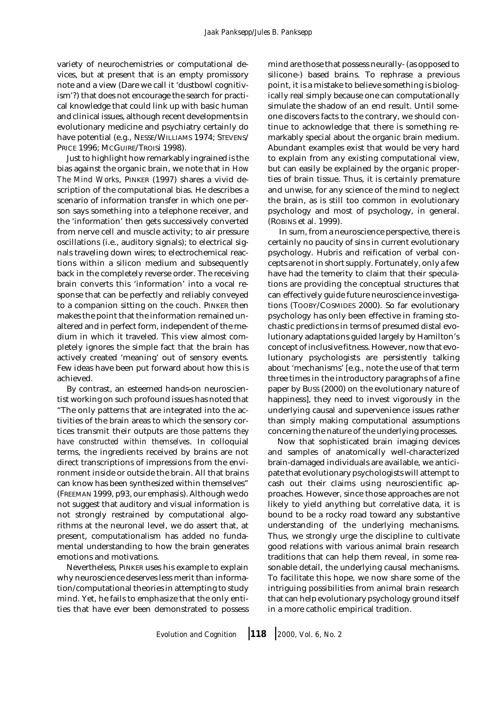variety of neurochemistries or computational devices, but at present that is an empty promissory note and a view (Dare we call it 'dustbowl cognitivism'?) that does not encourage the search for practical knowledge that could link up with basic human and clinical issues, although recent developments in evolutionary medicine and psychiatry certainly do have potential (e.g., NESSE/WILLIAMS 1974; STEVENS/ PRICE 1996; McGUIRE/TROISi 1998).

Just to highlight how remarkably ingrained is the bias against the organic brain, we note that in *How The Mind Works*, PINKER (1997) shares a vivid description of the computational bias. He describes a scenario of information transfer in which one person says something into a telephone receiver, and the 'information' then gets successively converted from nerve cell and muscle activity; to air pressure oscillations (i.e., auditory signals); to electrical signals traveling down wires; to electrochemical reactions within a silicon medium and subsequently back in the completely reverse order. The receiving brain converts this 'information' into a vocal response that can be perfectly and reliably conveyed to a companion sitting on the couch. PINKER then makes the point that the information remained unaltered and in perfect form, independent of the medium in which it traveled. This view almost completely ignores the simple fact that the brain has actively created 'meaning' out of sensory events. Few ideas have been put forward about how this is achieved.

By contrast, an esteemed hands-on neuroscientist working on such profound issues has noted that "The only patterns that are integrated into the activities of the brain areas to which the sensory cortices transmit their outputs are *those patterns they have constructed within themselves*. In colloquial terms, the ingredients received by brains are not direct transcriptions of impressions from the environment inside or outside the brain. All that brains can know has been synthesized within themselves" (FREEMAN 1999, p93, our emphasis). Although we do not suggest that auditory and visual information is not strongly restrained by computational algorithms at the neuronal level, we do assert that, at present, computationalism has added no fundamental understanding to how the brain generates emotions and motivations.

Nevertheless, PINKER uses his example to explain why neuroscience deserves less merit than information/computational theories in attempting to study mind. Yet, he fails to emphasize that the only entities that have ever been demonstrated to possess

mind are those that possess neurally- (as opposed to silicone-) based brains. To rephrase a previous point, it is a mistake to believe something is biologically real simply because one can computationally simulate the shadow of an end result. Until someone discovers facts to the contrary, we should continue to acknowledge that there is something remarkably special about the organic brain medium. Abundant examples exist that would be very hard to explain from any existing computational view, but can easily be explained by the organic properties of brain tissue. Thus, it is certainly premature and unwise, for any science of the mind to neglect the brain, as is still too common in evolutionary psychology and most of psychology, in general. (ROBINS et al. 1999).

 In sum, from a neuroscience perspective, there is certainly no paucity of sins in current evolutionary psychology. Hubris and reification of verbal concepts are not in short supply. Fortunately, only a few have had the temerity to claim that their speculations are providing the conceptual structures that can effectively guide future neuroscience investigations (TOOBY/COSMIDES 2000). So far evolutionary psychology has only been effective in framing stochastic predictions in terms of presumed distal evolutionary adaptations guided largely by Hamilton's concept of inclusive fitness. However, now that evolutionary psychologists are persistently talking about 'mechanisms' [e.g., note the use of that term three times in the introductory paragraphs of a fine paper by BUSS (2000) on the evolutionary nature of happiness], they need to invest vigorously in the underlying causal and supervenience issues rather than simply making computational assumptions concerning the nature of the underlying processes.

Now that sophisticated brain imaging devices and samples of anatomically well-characterized brain-damaged individuals are available, we anticipate that evolutionary psychologists will attempt to cash out their claims using neuroscientific approaches. However, since those approaches are not likely to yield anything but correlative data, it is bound to be a rocky road toward any substantive understanding of the underlying mechanisms. Thus, we strongly urge the discipline to cultivate good relations with various animal brain research traditions that can help them reveal, in some reasonable detail, the underlying causal mechanisms. To facilitate this hope, we now share some of the intriguing possibilities from animal brain research that can help evolutionary psychology ground itself in a more catholic empirical tradition.

*Evolution and Cognition* ❘ **<sup>118</sup>** ❘ *2000, Vol. 6, No. 2*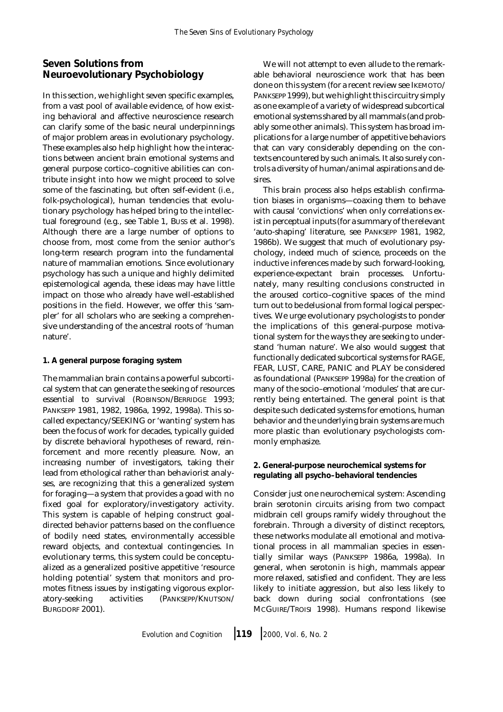# **Seven Solutions from Neuroevolutionary Psychobiology**

In this section, we highlight seven specific examples, from a vast pool of available evidence, of how existing behavioral and affective neuroscience research can clarify some of the basic neural underpinnings of major problem areas in evolutionary psychology. These examples also help highlight how the interactions between ancient brain emotional systems and general purpose cortico–cognitive abilities can contribute insight into how we might proceed to solve some of the fascinating, but often self-evident (i.e., folk-psychological), human tendencies that evolutionary psychology has helped bring to the intellectual foreground (e.g., see Table 1, BUSS et al. 1998). Although there are a large number of options to choose from, most come from the senior author's long-term research program into the fundamental nature of mammalian emotions. Since evolutionary psychology has such a unique and highly delimited epistemological agenda, these ideas may have little impact on those who already have well-established positions in the field. However, we offer this 'sampler' for all scholars who are seeking a comprehensive understanding of the ancestral roots of 'human nature'.

## **1. A general purpose foraging system**

The mammalian brain contains a powerful subcortical system that can generate the seeking of resources essential to survival (ROBINSON/BERRIDGE 1993; PANKSEPP 1981, 1982, 1986a, 1992, 1998a). This socalled expectancy/SEEKING or 'wanting' system has been the focus of work for decades, typically guided by discrete behavioral hypotheses of reward, reinforcement and more recently pleasure. Now, an increasing number of investigators, taking their lead from ethological rather than behaviorist analyses, are recognizing that this a generalized system for foraging—a system that provides a goad with no fixed goal for exploratory/investigatory activity. This system is capable of helping construct goaldirected behavior patterns based on the confluence of bodily need states, environmentally accessible reward objects, and contextual contingencies. In evolutionary terms, this system could be conceptualized as a generalized positive appetitive 'resource holding potential' system that monitors and promotes fitness issues by instigating vigorous exploratory-seeking activities (PANKSEPP/KNUTSON/ BURGDORF 2001).

We will not attempt to even allude to the remarkable behavioral neuroscience work that has been done on this system (for a recent review see IKEMOTO/ PANKSEPP 1999), but we highlight this circuitry simply as one example of a variety of widespread subcortical emotional systems shared by all mammals (and probably some other animals). This system has broad implications for a large number of appetitive behaviors that can vary considerably depending on the contexts encountered by such animals. It also surely controls a diversity of human/animal aspirations and desires.

This brain process also helps establish confirmation biases in organisms—coaxing them to behave with causal 'convictions' when only correlations exist in perceptual inputs (for a summary of the relevant 'auto-shaping' literature, see PANKSEPP 1981, 1982, 1986b). We suggest that much of evolutionary psychology, indeed much of science, proceeds on the inductive inferences made by such forward-looking, experience-expectant brain processes. Unfortunately, many resulting conclusions constructed in the aroused cortico–cognitive spaces of the mind turn out to be delusional from formal logical perspectives. We urge evolutionary psychologists to ponder the implications of this general-purpose motivational system for the ways they are seeking to understand 'human nature'. We also would suggest that functionally dedicated subcortical systems for RAGE, FEAR, LUST, CARE, PANIC and PLAY be considered as foundational (PANKSEPP 1998a) for the creation of many of the socio–emotional 'modules' that are currently being entertained. The general point is that despite such dedicated systems for emotions, human behavior and the underlying brain systems are much more plastic than evolutionary psychologists commonly emphasize.

## **2. General-purpose neurochemical systems for regulating all psycho–behavioral tendencies**

Consider just one neurochemical system: Ascending brain serotonin circuits arising from two compact midbrain cell groups ramify widely throughout the forebrain. Through a diversity of distinct receptors, these networks modulate all emotional and motivational process in all mammalian species in essentially similar ways (PANKSEPP 1986a, 1998a). In general, when serotonin is high, mammals appear more relaxed, satisfied and confident. They are less likely to initiate aggression, but also less likely to back down during social confrontations (see MCGUIRE/TROISI 1998). Humans respond likewise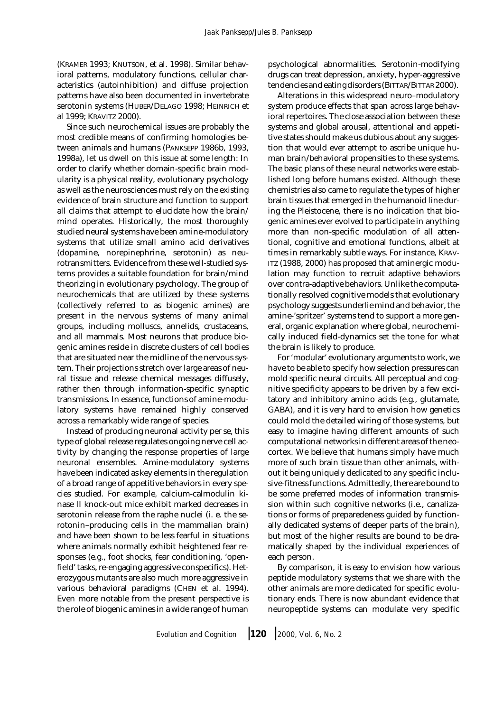(KRAMER 1993; KNUTSON, et al. 1998). Similar behavioral patterns, modulatory functions, cellular characteristics (autoinhibition) and diffuse projection patterns have also been documented in invertebrate serotonin systems (HUBER/DELAGO 1998; HEINRICH et al 1999; KRAVITZ 2000).

Since such neurochemical issues are probably the most credible means of confirming homologies between animals and humans (PANKSEPP 1986b, 1993, 1998a), let us dwell on this issue at some length: In order to clarify whether domain-specific brain modularity is a physical reality, evolutionary psychology as well as the neurosciences must rely on the existing evidence of brain structure and function to support all claims that attempt to elucidate how the brain/ mind operates. Historically, the most thoroughly studied neural systems have been amine-modulatory systems that utilize small amino acid derivatives (dopamine, norepinephrine, serotonin) as neurotransmitters. Evidence from these well-studied systems provides a suitable foundation for brain/mind theorizing in evolutionary psychology. The group of neurochemicals that are utilized by these systems (collectively referred to as biogenic amines) are present in the nervous systems of many animal groups, including molluscs, annelids, crustaceans, and all mammals. Most neurons that produce biogenic amines reside in discrete clusters of cell bodies that are situated near the midline of the nervous system. Their projections stretch over large areas of neural tissue and release chemical messages diffusely, rather then through information-specific synaptic transmissions. In essence, functions of amine-modulatory systems have remained highly conserved across a remarkably wide range of species.

Instead of producing neuronal activity per se, this type of global release regulates ongoing nerve cell activity by changing the response properties of large neuronal ensembles. Amine-modulatory systems have been indicated as key elements in the regulation of a broad range of appetitive behaviors in every species studied. For example, calcium-calmodulin kinase II knock-out mice exhibit marked decreases in serotonin release from the raphe nuclei (i. e. the serotonin–producing cells in the mammalian brain) and have been shown to be less fearful in situations where animals normally exhibit heightened fear responses (e.g., foot shocks, fear conditioning, 'openfield' tasks, re-engaging aggressive conspecifics). Heterozygous mutants are also much more aggressive in various behavioral paradigms (CHEN et al. 1994). Even more notable from the present perspective is the role of biogenic amines in a wide range of human

psychological abnormalities. Serotonin-modifying drugs can treat depression, anxiety, hyper-aggressive tendencies and eating disorders (BITTAR/BITTAR 2000).

Alterations in this widespread neuro–modulatory system produce effects that span across large behavioral repertoires. The close association between these systems and global arousal, attentional and appetitive states should make us dubious about any suggestion that would ever attempt to ascribe unique human brain/behavioral propensities to these systems. The basic plans of these neural networks were established long before humans existed. Although these chemistries also came to regulate the types of higher brain tissues that emerged in the humanoid line during the Pleistocene, there is no indication that biogenic amines ever evolved to participate in anything more than non-specific modulation of all attentional, cognitive and emotional functions, albeit at times in remarkably subtle ways. For instance, KRAV-ITZ (1988, 2000) has proposed that aminergic modulation may function to recruit adaptive behaviors over contra-adaptive behaviors. Unlike the computationally resolved cognitive models that evolutionary psychology suggests underlie mind and behavior, the amine-'spritzer' systems tend to support a more general, organic explanation where global, neurochemically induced field-dynamics set the tone for what the brain is likely to produce.

For 'modular' evolutionary arguments to work, we have to be able to specify how selection pressures can mold specific neural circuits. All perceptual and cognitive specificity appears to be driven by a few excitatory and inhibitory amino acids (e.g., glutamate, GABA), and it is very hard to envision how genetics could mold the detailed wiring of those systems, but easy to imagine having different amounts of such computational networks in different areas of the neocortex. We believe that humans simply have much more of such brain tissue than other animals, without it being uniquely dedicated to any specific inclusive-fitness functions. Admittedly, there are bound to be some preferred modes of information transmission within such cognitive networks (i.e., canalizations or forms of preparedeness guided by functionally dedicated systems of deeper parts of the brain), but most of the higher results are bound to be dramatically shaped by the individual experiences of each person.

By comparison, it is easy to envision how various peptide modulatory systems that we share with the other animals are more dedicated for specific evolutionary ends. There is now abundant evidence that neuropeptide systems can modulate very specific

*Evolution and Cognition* ❘ **<sup>120</sup>** ❘ *2000, Vol. 6, No. 2*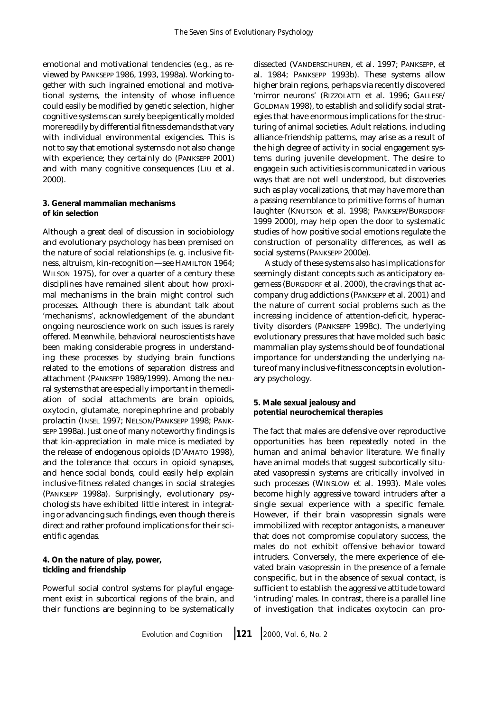emotional and motivational tendencies (e.g., as reviewed by PANKSEPP 1986, 1993, 1998a). Working together with such ingrained emotional and motivational systems, the intensity of whose influence could easily be modified by genetic selection, higher cognitive systems can surely be epigentically molded more readily by differential fitness demands that vary with individual environmental exigencies. This is not to say that emotional systems do not also change with experience; they certainly do (PANKSEPP 2001) and with many cognitive consequences (LIU et al. 2000).

### **3. General mammalian mechanisms of kin selection**

Although a great deal of discussion in sociobiology and evolutionary psychology has been premised on the nature of social relationships (e. g. inclusive fitness, altruism, kin-recognition—see HAMILTON 1964; WILSON 1975), for over a quarter of a century these disciplines have remained silent about how proximal mechanisms in the brain might control such processes. Although there is abundant talk about 'mechanisms', acknowledgement of the abundant ongoing neuroscience work on such issues is rarely offered. Meanwhile, behavioral neuroscientists have been making considerable progress in understanding these processes by studying brain functions related to the emotions of separation distress and attachment (PANKSEPP 1989/1999). Among the neural systems that are especially important in the mediation of social attachments are brain opioids, oxytocin, glutamate, norepinephrine and probably prolactin (INSEL 1997; NELSON/PANKSEPP 1998; PANK-SEPP 1998a). Just one of many noteworthy findings is that kin-appreciation in male mice is mediated by the release of endogenous opioids (D'AMATO 1998), and the tolerance that occurs in opioid synapses, and hence social bonds, could easily help explain inclusive-fitness related changes in social strategies (PANKSEPP 1998a). Surprisingly, evolutionary psychologists have exhibited little interest in integrating or advancing such findings, even though there is direct and rather profound implications for their scientific agendas.

**4. On the nature of play, power, tickling and friendship**

Powerful social control systems for playful engagement exist in subcortical regions of the brain, and their functions are beginning to be systematically dissected (VANDERSCHUREN, et al. 1997; PANKSEPP, et al. 1984; PANKSEPP 1993b). These systems allow higher brain regions, perhaps via recently discovered 'mirror neurons' (RIZZOLATTI et al. 1996; GALLESE/ GOLDMAN 1998), to establish and solidify social strategies that have enormous implications for the structuring of animal societies. Adult relations, including alliance-friendship patterns, may arise as a result of the high degree of activity in social engagement systems during juvenile development. The desire to engage in such activities is communicated in various ways that are not well understood, but discoveries such as play vocalizations, that may have more than a passing resemblance to primitive forms of human laughter (KNUTSON et al. 1998; PANKSEPP/BURGDORF 1999 2000), may help open the door to systematic studies of how positive social emotions regulate the construction of personality differences, as well as social systems (PANKSEPP 2000e).

 A study of these systems also has implications for seemingly distant concepts such as anticipatory eagerness (BURGDORF et al. 2000), the cravings that accompany drug addictions (PANKSEPP et al. 2001) and the nature of current social problems such as the increasing incidence of attention-deficit, hyperactivity disorders (PANKSEPP 1998c). The underlying evolutionary pressures that have molded such basic mammalian play systems should be of foundational importance for understanding the underlying nature of many inclusive-fitness concepts in evolutionary psychology.

**5. Male sexual jealousy and potential neurochemical therapies**

The fact that males are defensive over reproductive opportunities has been repeatedly noted in the human and animal behavior literature. We finally have animal models that suggest subcortically situated vasopressin systems are critically involved in such processes (WINSLOW et al. 1993). Male voles become highly aggressive toward intruders after a single sexual experience with a specific female. However, if their brain vasopressin signals were immobilized with receptor antagonists, a maneuver that does not compromise copulatory success, the males do not exhibit offensive behavior toward intruders. Conversely, the mere experience of elevated brain vasopressin in the presence of a female conspecific, but in the absence of sexual contact, is sufficient to establish the aggressive attitude toward 'intruding' males. In contrast, there is a parallel line of investigation that indicates oxytocin can pro-

*Evolution and Cognition* ❘ **<sup>121</sup>** ❘ *2000, Vol. 6, No. 2*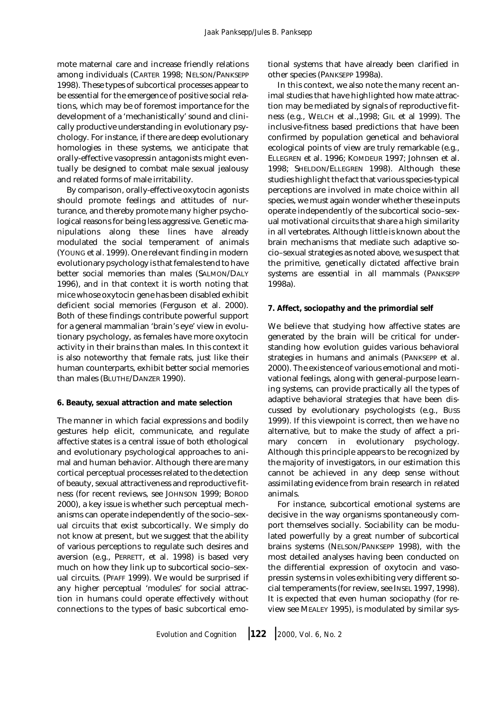#### *Jaak Panksepp/Jules B. Panksepp*

mote maternal care and increase friendly relations among individuals (CARTER 1998; NELSON/PANKSEPP 1998). These types of subcortical processes appear to be essential for the emergence of positive social relations, which may be of foremost importance for the development of a 'mechanistically' sound and clinically productive understanding in evolutionary psychology. For instance, if there are deep evolutionary homologies in these systems, we anticipate that orally-effective vasopressin antagonists might eventually be designed to combat male sexual jealousy and related forms of male irritability.

By comparison, orally-effective oxytocin agonists should promote feelings and attitudes of nurturance, and thereby promote many higher psychological reasons for being less aggressive. Genetic manipulations along these lines have already modulated the social temperament of animals (YOUNG et al. 1999). One relevant finding in modern evolutionary psychology is that females tend to have better social memories than males (SALMON/DALY 1996), and in that context it is worth noting that mice whose oxytocin gene has been disabled exhibit deficient social memories (Ferguson et al. 2000). Both of these findings contribute powerful support for a general mammalian 'brain's eye' view in evolutionary psychology, as females have more oxytocin activity in their brains than males. In this context it is also noteworthy that female rats, just like their human counterparts, exhibit better social memories than males (BLUTHE/DANZER 1990).

### **6. Beauty, sexual attraction and mate selection**

The manner in which facial expressions and bodily gestures help elicit, communicate, and regulate affective states is a central issue of both ethological and evolutionary psychological approaches to animal and human behavior. Although there are many cortical perceptual processes related to the detection of beauty, sexual attractiveness and reproductive fitness (for recent reviews, see JOHNSON 1999; BOROD 2000), a key issue is whether such perceptual mechanisms can operate independently of the socio–sexual circuits that exist subcortically. We simply do not know at present, but we suggest that the ability of various perceptions to regulate such desires and aversion (e.g., PERRETT, et al. 1998) is based very much on how they link up to subcortical socio–sexual circuits. (PFAFF 1999). We would be surprised if any higher perceptual 'modules' for social attraction in humans could operate effectively without connections to the types of basic subcortical emotional systems that have already been clarified in other species (PANKSEPP 1998a).

In this context, we also note the many recent animal studies that have highlighted how mate attraction may be mediated by signals of reproductive fitness (e.g., WELCH et al.,1998; GIL et al 1999). The inclusive-fitness based predictions that have been confirmed by population genetical and behavioral ecological points of view are truly remarkable (e.g., ELLEGREN et al. 1996; KOMDEUR 1997; Johnsen et al. 1998; SHELDON/ELLEGREN 1998). Although these studies highlight the fact that various species-typical perceptions are involved in mate choice within all species, we must again wonder whether these inputs operate independently of the subcortical socio–sexual motivational circuits that share a high similarity in all vertebrates. Although little is known about the brain mechanisms that mediate such adaptive socio–sexual strategies as noted above, we suspect that the primitive, genetically dictated affective brain systems are essential in all mammals (PANKSEPP 1998a).

### **7. Affect, sociopathy and the primordial self**

We believe that studying how affective states are generated by the brain will be critical for understanding how evolution guides various behavioral strategies in humans and animals (PANKSEPP et al. 2000). The existence of various emotional and motivational feelings, along with general-purpose learning systems, can provide practically all the types of adaptive behavioral strategies that have been discussed by evolutionary psychologists (e.g., BUSS 1999). If this viewpoint is correct, then we have no alternative, but to make the study of affect a primary concern in evolutionary psychology. Although this principle appears to be recognized by the majority of investigators, in our estimation this cannot be achieved in any deep sense without assimilating evidence from brain research in related animals.

For instance, subcortical emotional systems are decisive in the way organisms spontaneously comport themselves socially. Sociability can be modulated powerfully by a great number of subcortical brains systems (NELSON/PANKSEPP 1998), with the most detailed analyses having been conducted on the differential expression of oxytocin and vasopressin systems in voles exhibiting very different social temperaments (for review, see INSEL 1997, 1998). It is expected that even human sociopathy (for review see MEALEY 1995), is modulated by similar sys-

*Evolution and Cognition* ❘ **<sup>122</sup>** ❘ *2000, Vol. 6, No. 2*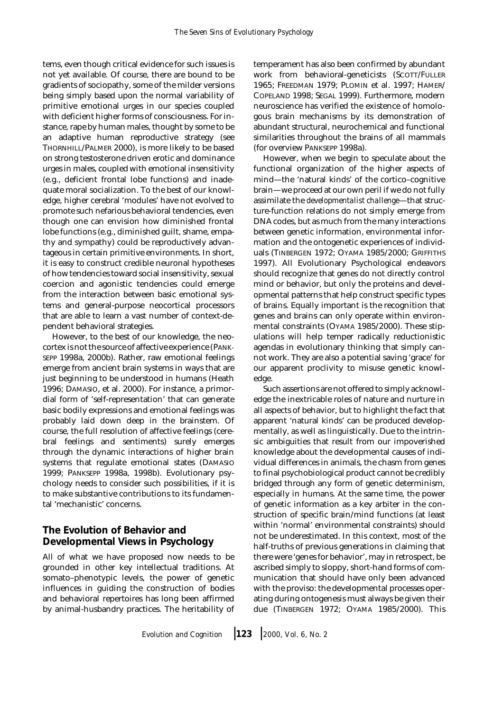tems, even though critical evidence for such issues is not yet available. Of course, there are bound to be gradients of sociopathy, some of the milder versions being simply based upon the normal variability of primitive emotional urges in our species coupled with deficient higher forms of consciousness. For instance, rape by human males, thought by some to be an adaptive human reproductive strategy (see THORNHILL/PALMER 2000), is more likely to be based on strong testosterone driven erotic and dominance urges in males, coupled with emotional insensitivity (e.g., deficient frontal lobe functions) and inadequate moral socialization. To the best of our knowledge, higher cerebral 'modules' have not evolved to promote such nefarious behavioral tendencies, even though one can envision how diminished frontal lobe functions (e.g., diminished guilt, shame, empathy and sympathy) could be reproductively advantageous in certain primitive environments. In short, it is easy to construct credible neuronal hypotheses of how tendencies toward social insensitivity, sexual coercion and agonistic tendencies could emerge from the interaction between basic emotional systems and general-purpose neocortical processors that are able to learn a vast number of context-dependent behavioral strategies.

However, to the best of our knowledge, the neocortex is not the source of affective experience (PANK-SEPP 1998a, 2000b). Rather, raw emotional feelings emerge from ancient brain systems in ways that are just beginning to be understood in humans (Heath 1996; DAMASIO, et al. 2000). For instance, a primordial form of 'self-representation' that can generate basic bodily expressions and emotional feelings was probably laid down deep in the brainstem. Of course, the full resolution of affective feelings (cerebral feelings and sentiments) surely emerges through the dynamic interactions of higher brain systems that regulate emotional states (DAMASIO 1999; PANKSEPP 1998a, 1998b). Evolutionary psychology needs to consider such possibilities, if it is to make substantive contributions to its fundamental 'mechanistic' concerns.

# **The Evolution of Behavior and Developmental Views in Psychology**

All of what we have proposed now needs to be grounded in other key intellectual traditions. At somato–phenotypic levels, the power of genetic influences in guiding the construction of bodies and behavioral repertoires has long been affirmed by animal-husbandry practices. The heritability of temperament has also been confirmed by abundant work from behavioral-geneticists (SCOTT/FULLER 1965; FREEDMAN 1979; PLOMIN et al. 1997; HAMER/ COPELAND 1998; SEGAL 1999). Furthermore, modern neuroscience has verified the existence of homologous brain mechanisms by its demonstration of abundant structural, neurochemical and functional similarities throughout the brains of all mammals (for overview PANKSEPP 1998a).

However, when we begin to speculate about the functional organization of the higher aspects of mind—the 'natural kinds' of the cortico–cognitive brain—we proceed at our own peril if we do not fully assimilate the *developmentalist challenge*—that structure-function relations do not simply emerge from DNA codes, but as much from the many interactions between genetic information, environmental information and the ontogenetic experiences of individuals (TINBERGEN 1972; OYAMA 1985/2000; GRIFFITHS 1997). All Evolutionary Psychological endeavors should recognize that genes do not directly control mind or behavior, but only the proteins and developmental patterns that help construct specific types of brains. Equally important is the recognition that genes and brains can only operate within environmental constraints (OYAMA 1985/2000). These stipulations will help temper radically reductionistic agendas in evolutionary thinking that simply cannot work. They are also a potential saving 'grace' for our apparent proclivity to misuse genetic knowledge.

Such assertions are not offered to simply acknowledge the inextricable roles of nature and nurture in all aspects of behavior, but to highlight the fact that apparent 'natural kinds' can be produced developmentally, as well as linguistically. Due to the intrinsic ambiguities that result from our impoverished knowledge about the developmental causes of individual differences in animals, the chasm from genes to final psychobiological product cannot be credibly bridged through any form of genetic determinism, especially in humans. At the same time, the power of genetic information as a key arbiter in the construction of specific brain/mind functions (at least within 'normal' environmental constraints) should not be underestimated. In this context, most of the half-truths of previous generations in claiming that there were 'genes for behavior', may in retrospect, be ascribed simply to sloppy, short-hand forms of communication that should have only been advanced with the proviso: the developmental processes operating during ontogenesis must always be given their due (TINBERGEN 1972; OYAMA 1985/2000). This

*Evolution and Cognition* ❘ **<sup>123</sup>** ❘ *2000, Vol. 6, No. 2*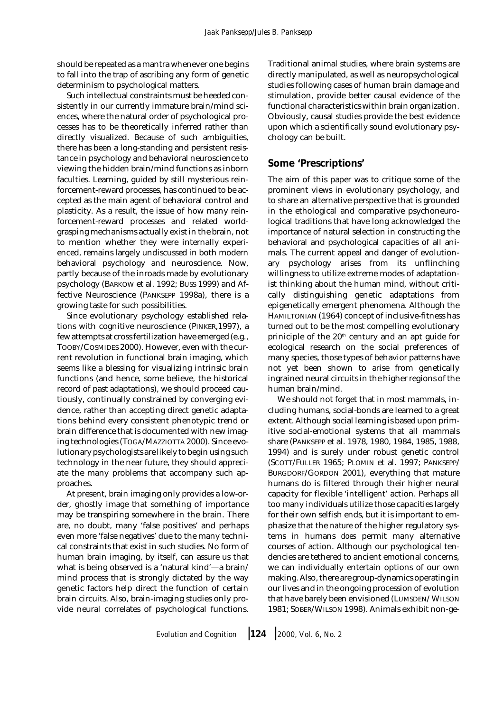should be repeated as a mantra whenever one begins to fall into the trap of ascribing any form of genetic determinism to psychological matters.

Such intellectual constraints must be heeded consistently in our currently immature brain/mind sciences, where the natural order of psychological processes has to be theoretically inferred rather than directly visualized. Because of such ambiguities, there has been a long-standing and persistent resistance in psychology and behavioral neuroscience to viewing the hidden brain/mind functions as inborn faculties. Learning, guided by still mysterious reinforcement-reward processes, has continued to be accepted as the main agent of behavioral control and plasticity. As a result, the issue of how many reinforcement-reward processes and related worldgrasping mechanisms actually exist in the brain, not to mention whether they were internally experienced, remains largely undiscussed in both modern behavioral psychology and neuroscience. Now, partly because of the inroads made by evolutionary psychology (BARKOW et al. 1992; BUSS 1999) and Affective Neuroscience (PANKSEPP 1998a), there is a growing taste for such possibilities.

Since evolutionary psychology established relations with cognitive neuroscience (PINKER,1997), a few attempts at cross fertilization have emerged (e.g., TOOBY/COSMIDES 2000). However, even with the current revolution in functional brain imaging, which seems like a blessing for visualizing intrinsic brain functions (and hence, some believe, the historical record of past adaptations), we should proceed cautiously, continually constrained by converging evidence, rather than accepting direct genetic adaptations behind every consistent phenotypic trend or brain difference that is documented with new imaging technologies (TOGA/MAZZIOTTA 2000). Since evolutionary psychologists are likely to begin using such technology in the near future, they should appreciate the many problems that accompany such approaches.

At present, brain imaging only provides a low-order, ghostly image that something of importance may be transpiring somewhere in the brain. There are, no doubt, many 'false positives' and perhaps even more 'false negatives' due to the many technical constraints that exist in such studies. No form of human brain imaging, by itself, can assure us that what is being observed is a 'natural kind'—a brain/ mind process that is strongly dictated by the way genetic factors help direct the function of certain brain circuits. Also, brain-imaging studies only provide neural correlates of psychological functions.

Traditional animal studies, where brain systems are directly manipulated, as well as neuropsychological studies following cases of human brain damage and stimulation, provide better causal evidence of the functional characteristics within brain organization. Obviously, causal studies provide the best evidence upon which a scientifically sound evolutionary psychology can be built.

# **Some 'Prescriptions'**

The aim of this paper was to critique some of the prominent views in evolutionary psychology, and to share an alternative perspective that is grounded in the ethological and comparative psychoneurological traditions that have long acknowledged the importance of natural selection in constructing the behavioral and psychological capacities of all animals. The current appeal and danger of evolutionary psychology arises from its unflinching willingness to utilize extreme modes of adaptationist thinking about the human mind, without critically distinguishing genetic adaptations from epigenetically emergent phenomena. Although the HAMILTONIAN (1964) concept of inclusive-fitness has turned out to be the most compelling evolutionary priniciple of the 20<sup>th</sup> century and an apt guide for ecological research on the social preferences of many species, those types of behavior patterns have not yet been shown to arise from genetically ingrained neural circuits in the higher regions of the human brain/mind.

We should not forget that in most mammals, including humans, social-bonds are learned to a great extent. Although social learning is based upon primitive social-emotional systems that all mammals share (PANKSEPP et al. 1978, 1980, 1984, 1985, 1988, 1994) and is surely under robust genetic control (SCOTT/FULLER 1965; PLOMIN et al. 1997; PANKSEPP/ BURGDORF/GORDON 2001), everything that mature humans do is filtered through their higher neural capacity for flexible 'intelligent' action. Perhaps all too many individuals utilize those capacities largely for their own selfish ends, but it is important to emphasize that the *nature* of the higher regulatory systems in humans *does* permit many alternative courses of action. Although our psychological tendencies are tethered to ancient emotional concerns, we can individually entertain options of our own making. Also, there are group-dynamics operating in our lives and in the ongoing procession of evolution that have barely been envisioned (LUMSDEN/ WILSON 1981; SOBER/WILSON 1998). Animals exhibit non-ge-

*Evolution and Cognition* ❘ **<sup>124</sup>** ❘ *2000, Vol. 6, No. 2*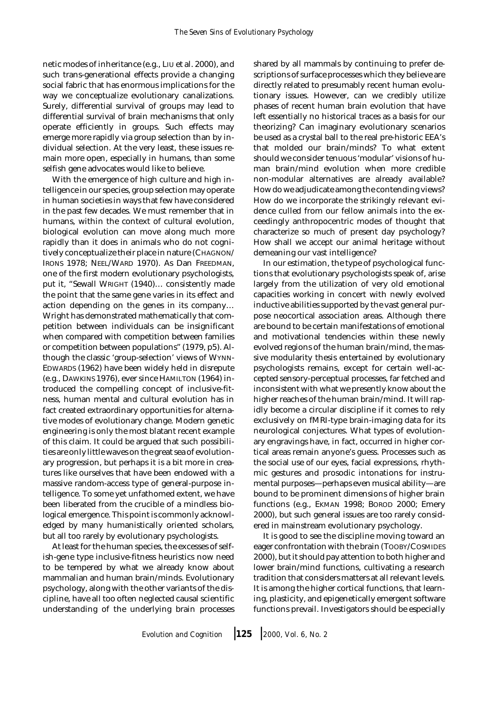netic modes of inheritance (e.g., LIU et al. 2000), and such trans-generational effects provide a changing social fabric that has enormous implications for the way we conceptualize evolutionary canalizations. Surely, differential survival of groups may lead to differential survival of brain mechanisms that only operate efficiently in groups. Such effects may emerge more rapidly via group selection than by individual selection. At the very least, these issues remain more open, especially in humans, than some selfish gene advocates would like to believe.

With the emergence of high culture and high intelligence in our species, group selection may operate in human societies in ways that few have considered in the past few decades. We must remember that in humans, within the context of cultural evolution, biological evolution can move along much more rapidly than it does in animals who do not cognitively conceptualize their place in nature (CHAGNON/ IRONS 1978; NEEL/WARD 1970). As Dan FREEDMAN, one of the first modern evolutionary psychologists, put it, "Sewall WRIGHT (1940)… consistently made the point that the same gene varies in its effect and action depending on the genes in its company… Wright has demonstrated mathematically that competition between individuals can be insignificant when compared with competition between families or competition between populations" (1979, p5). Although the classic 'group-selection' views of WYNN-EDWARDS (1962) have been widely held in disrepute (e.g., DAWKINS 1976), ever since HAMILTON (1964) introduced the compelling concept of inclusive-fitness, human mental and cultural evolution has in fact created extraordinary opportunities for alternative modes of evolutionary change. Modern genetic engineering is only the most blatant recent example of this claim. It could be argued that such possibilities are only little waves on the great sea of evolutionary progression, but perhaps it is a bit more in creatures like ourselves that have been endowed with a massive random-access type of general-purpose intelligence. To some yet unfathomed extent, we have been liberated from the crucible of a mindless biological emergence. This point is commonly acknowledged by many humanistically oriented scholars, but all too rarely by evolutionary psychologists.

At least for the human species, the excesses of selfish-gene type inclusive-fitness heuristics now need to be tempered by what we already know about mammalian and human brain/minds. Evolutionary psychology, along with the other variants of the discipline, have all too often neglected causal scientific understanding of the underlying brain processes shared by all mammals by continuing to prefer descriptions of surface processes which they believe are directly related to presumably recent human evolutionary issues. However, can we credibly utilize phases of recent human brain evolution that have left essentially no historical traces as a basis for our theorizing? Can imaginary evolutionary scenarios be used as a crystal ball to the real pre-historic EEA's that molded our brain/minds? To what extent should we consider tenuous 'modular' visions of human brain/mind evolution when more credible non-modular alternatives are already available? How do we adjudicate among the contending views? How do we incorporate the strikingly relevant evidence culled from our fellow animals into the exceedingly anthropocentric modes of thought that characterize so much of present day psychology? How shall we accept our animal heritage without demeaning our vast intelligence?

In our estimation, the type of psychological functions that evolutionary psychologists speak of, arise largely from the utilization of very old emotional capacities working in concert with newly evolved inductive abilities supported by the vast general purpose neocortical association areas. Although there are bound to be certain manifestations of emotional and motivational tendencies within these newly evolved regions of the human brain/mind, the massive modularity thesis entertained by evolutionary psychologists remains, except for certain well-accepted sensory-perceptual processes, far fetched and inconsistent with what we presently know about the higher reaches of the human brain/mind. It will rapidly become a circular discipline if it comes to rely exclusively on fMRI-type brain-imaging data for its neurological conjectures. What types of evolutionary engravings have, in fact, occurred in higher cortical areas remain anyone's guess. Processes such as the social use of our eyes, facial expressions, rhythmic gestures and prosodic intonations for instrumental purposes—perhaps even musical ability—are bound to be prominent dimensions of higher brain functions (e.g., EKMAN 1998; BOROD 2000; Emery 2000), but such general issues are too rarely considered in mainstream evolutionary psychology.

It is good to see the discipline moving toward an eager confrontation with the brain (TOOBY/COSMIDES 2000), but it should pay attention to both higher and lower brain/mind functions, cultivating a research tradition that considers matters at all relevant levels. It is among the higher cortical functions, that learning, plasticity, and epigenetically emergent software functions prevail. Investigators should be especially

*Evolution and Cognition* ❘ **<sup>125</sup>** ❘ *2000, Vol. 6, No. 2*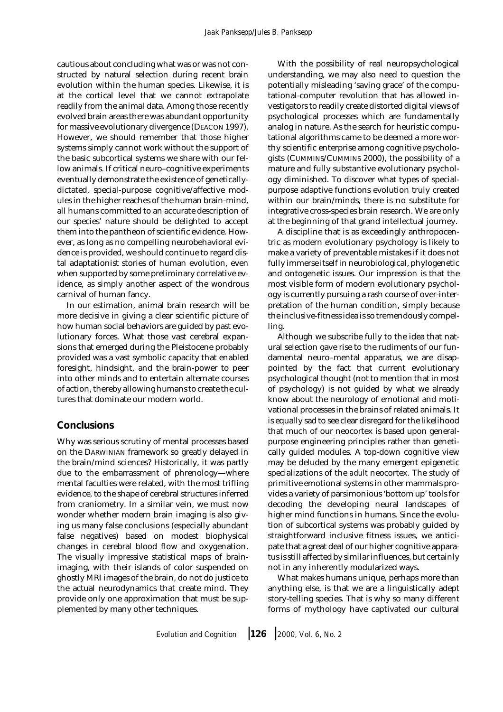cautious about concluding what was or was not constructed by natural selection during recent brain evolution within the human species. Likewise, it is at the cortical level that we cannot extrapolate readily from the animal data. Among those recently evolved brain areas there was abundant opportunity for massive evolutionary divergence (DEACON 1997). However, we should remember that those higher systems simply cannot work without the support of the basic subcortical systems we share with our fellow animals. If critical neuro–cognitive experiments eventually demonstrate the existence of geneticallydictated, special-purpose cognitive/affective modules in the higher reaches of the human brain-mind, all humans committed to an accurate description of our species' nature should be delighted to accept them into the pantheon of scientific evidence. However, as long as no compelling neurobehavioral evidence is provided, we should continue to regard distal adaptationist stories of human evolution, even when supported by some preliminary correlative evidence, as simply another aspect of the wondrous carnival of human fancy.

In our estimation, animal brain research will be more decisive in giving a clear scientific picture of how human social behaviors are guided by past evolutionary forces. What those vast cerebral expansions that emerged during the Pleistocene probably provided was a vast symbolic capacity that enabled foresight, hindsight, and the brain-power to peer into other minds and to entertain alternate courses of action, thereby allowing humans to create the cultures that dominate our modern world.

## **Conclusions**

Why was serious scrutiny of mental processes based on the DARWINIAN framework so greatly delayed in the brain/mind sciences? Historically, it was partly due to the embarrassment of phrenology—where mental faculties were related, with the most trifling evidence, to the shape of cerebral structures inferred from craniometry. In a similar vein, we must now wonder whether modern brain imaging is also giving us many false conclusions (especially abundant false negatives) based on modest biophysical changes in cerebral blood flow and oxygenation. The visually impressive statistical maps of brainimaging, with their islands of color suspended on ghostly MRI images of the brain, do not do justice to the actual neurodynamics that create mind. They provide only one approximation that must be supplemented by many other techniques.

With the possibility of real neuropsychological understanding, we may also need to question the potentially misleading 'saving grace' of the computational-computer revolution that has allowed investigators to readily create distorted digital views of psychological processes which are fundamentally analog in nature. As the search for heuristic computational algorithms came to be deemed a more worthy scientific enterprise among cognitive psychologists (CUMMINS/CUMMINS 2000), the possibility of a mature and fully substantive evolutionary psychology diminished. To discover what types of specialpurpose adaptive functions evolution truly created within our brain/minds, there is no substitute for integrative cross-species brain research. We are only at the beginning of that grand intellectual journey.

A discipline that is as exceedingly anthropocentric as modern evolutionary psychology is likely to make a variety of preventable mistakes if it does not fully immerse itself in neurobiological, phylogenetic and ontogenetic issues. Our impression is that the most visible form of modern evolutionary psychology is currently pursuing a rash course of over-interpretation of the human condition, simply because the inclusive-fitness idea is so tremendously compelling.

Although we subscribe fully to the idea that natural selection gave rise to the rudiments of our fundamental neuro–mental apparatus, we are disappointed by the fact that current evolutionary psychological thought (not to mention that in most of psychology) is not guided by what we already know about the neurology of emotional and motivational processes in the brains of related animals. It is equally sad to see clear disregard for the likelihood that much of our neocortex is based upon generalpurpose engineering principles rather than genetically guided modules. A top-down cognitive view may be deluded by the many emergent epigenetic specializations of the *adult* neocortex. The study of primitive emotional systems in other mammals provides a variety of parsimonious 'bottom up' tools for decoding the developing neural landscapes of higher mind functions in humans. Since the evolution of subcortical systems was probably guided by straightforward inclusive fitness issues, we anticipate that a great deal of our higher cognitive apparatus is still affected by similar influences, but certainly not in any inherently modularized ways.

What makes humans unique, perhaps more than anything else, is that we are a linguistically adept story-telling species. That is why so many different forms of mythology have captivated our cultural

*Evolution and Cognition* ❘ **<sup>126</sup>** ❘ *2000, Vol. 6, No. 2*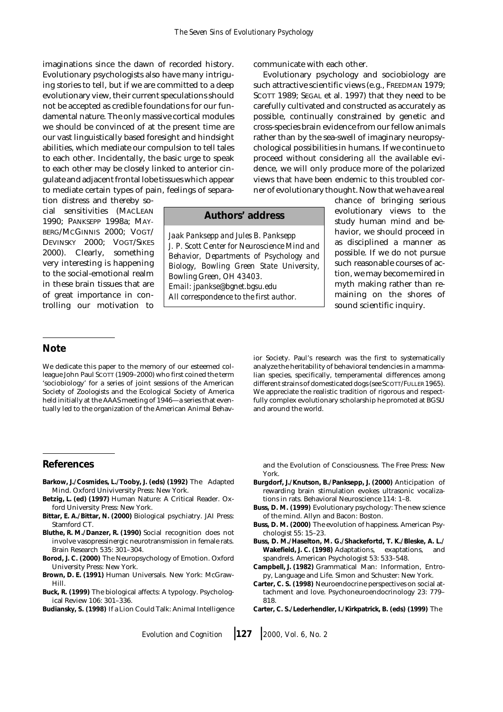imaginations since the dawn of recorded history. Evolutionary psychologists also have many intriguing stories to tell, but if we are committed to a deep evolutionary view, their current speculations should not be accepted as credible foundations for our fundamental nature. The only massive cortical modules we should be convinced of at the present time are our vast linguistically based foresight and hindsight abilities, which mediate our compulsion to tell tales to each other. Incidentally, the basic urge to speak to each other may be closely linked to anterior cingulate and adjacent frontal lobe tissues which appear to mediate certain types of pain, feelings of separa-

tion distress and thereby social sensitivities (MACLEAN 1990; PANKSEPP 1998a; MAY-BERG/MCGINNIS 2000; VOGT/ DEVINSKY 2000; VOGT/SIKES 2000). Clearly, something very interesting is happening to the social-emotional realm in these brain tissues that are of great importance in controlling our motivation to

## **Authors' address**

*Jaak Panksepp and Jules B. Panksepp J. P. Scott Center for Neuroscience Mind and Behavior, Departments of Psychology and Biology, Bowling Green State University, Bowling Green, OH 43403. Email: jpankse@bgnet.bgsu.edu All correspondence to the first author.*

communicate with each other.

Evolutionary psychology and sociobiology are such attractive scientific views (e.g., FREEDMAN 1979; SCOTT 1989; SEGAL et al. 1997) that they need to be carefully cultivated and constructed as accurately as possible, continually constrained by genetic and cross-species brain evidence from our fellow animals rather than by the sea-swell of imaginary neuropsychological possibilities in humans. If we continue to proceed without considering *all* the available evidence, we will only produce more of the polarized views that have been endemic to this troubled corner of evolutionary thought. Now that we have a real

chance of bringing serious evolutionary views to the study human mind and behavior, we should proceed in as disciplined a manner as possible. If we do not pursue such reasonable courses of action, we may become mired in myth making rather than remaining on the shores of sound scientific inquiry.

## **Note**

We dedicate this paper to the memory of our esteemed colleague John Paul SCOTT (1909–2000) who first coined the term 'sociobiology' for a series of joint sessions of the American Society of Zoologists and the Ecological Society of America held initially at the AAAS meeting of 1946—a series that eventually led to the organization of the American Animal Behavior Society. Paul's research was the first to systematically analyze the heritability of behavioral tendencies in a mammalian species, specifically, temperamental differences among different strains of domesticated dogs (see SCOTT/FULLER 1965). We appreciate the realistic tradition of rigorous and respectfully complex evolutionary scholarship he promoted at BGSU and around the world.

### **References**

- **Barkow, J./Cosmides, L./Tooby, J. (eds) (1992)** The Adapted Mind. Oxford Univiversity Press: New York.
- **Betzig, L. (ed) (1997)** Human Nature: A Critical Reader. Oxford University Press: New York.
- **Bittar, E. A./Bittar, N. (2000)** Biological psychiatry. JAI Press: Stamford CT.
- **Bluthe, R. M./Danzer, R. (1990)** Social recognition does not involve vasopressinergic neurotransmission in female rats. Brain Research 535: 301–304.
- **Borod, J. C. (2000)** The Neuropsychology of Emotion. Oxford University Press: New York.
- **Brown, D. E. (1991)** Human Universals. New York: McGraw-Hill.
- **Buck, R. (1999)** The biological affects: A typology. Psychological Review 106: 301–336.
- **Budiansky, S. (1998)** If a Lion Could Talk: Animal Intelligence

and the Evolution of Consciousness. The Free Press: New York.

- **Burgdorf, J./Knutson, B./Panksepp, J. (2000)** Anticipation of rewarding brain stimulation evokes ultrasonic vocalizations in rats. Behavioral Neuroscience 114: 1–8.
- **Buss, D. M. (1999)** Evolutionary psychology: The new science of the mind. Allyn and Bacon: Boston.
- **Buss, D. M. (2000)** The evolution of happiness. American Psychologist 55: 15–23.
- **Buss, D. M./Haselton, M. G./Shackefortd, T. K./Bleske, A. L./ Wakefield, J. C. (1998)** Adaptations, exaptations, and spandrels. American Psychologist 53: 533–548.
- **Campbell, J. (1982)** Grammatical Man: Information, Entropy, Language and Life. Simon and Schuster: New York.
- **Carter, C. S. (1998)** Neuroendocrine perspectives on social attachment and love. Psychoneuroendocrinology 23: 779– 818.
- **Carter, C. S./Lederhendler, I./Kirkpatrick, B. (eds) (1999)** The

*Evolution and Cognition* ❘ **<sup>127</sup>** ❘ *2000, Vol. 6, No. 2*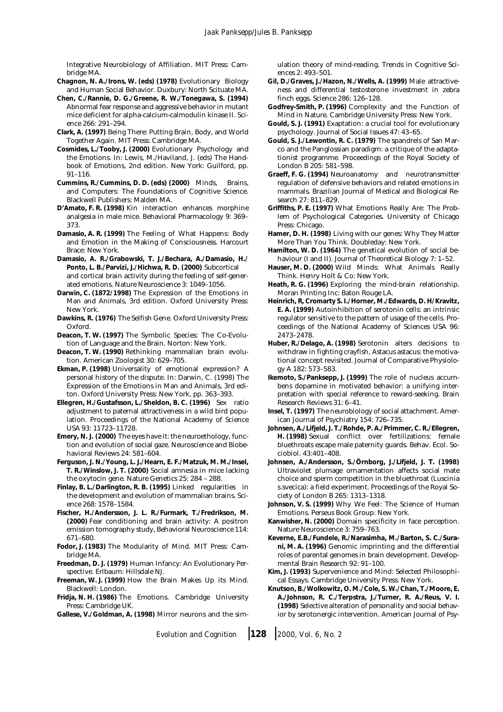Integrative Neurobiology of Affiliation. MIT Press: Cambridge MA.

- **Chagnon, N. A./Irons, W. (eds) (1978)** Evolutionary Biology and Human Social Behavior. Duxbury: North Scituate MA.
- **Chen, C./Rannie, D. G./Greene, R. W./Tonegawa, S. (1994)** Abnormal fear response and aggressive behavior in mutant mice deficient for alpha-calcium-calmodulin kinase II. Science 266: 291–294.
- **Clark, A. (1997)** Being There: Putting Brain, Body, and World Together Again. MIT Press: Cambridge MA.
- **Cosmides, L./Tooby, J. (2000)** Evolutionary Psychology and the Emotions. In: Lewis, M./Haviland, J. (eds) The Handbook of Emotions, 2nd edition. New York: Guilford, pp. 91–116.
- **Cummins, R./Cummins, D. D. (eds) (2000)** Minds, Brains, and Computers: The Foundations of Cognitive Science. Blackwell Publishers: Malden MA.
- **D'Amato, F. R. (1998)** Kin interaction enhances morphine analgesia in male mice. Behavioral Pharmacology 9: 369– 373.
- **Damasio, A. R. (1999)** The Feeling of What Happens: Body and Emotion in the Making of Consciousness. Harcourt Brace: New York.
- **Damasio, A. R./Grabowski, T. J./Bechara, A./Damasio, H./ Ponto, L. B./Parvizi, J./Hichwa, R. D. (2000)** Subcortical and cortical brain activity during the feeling of self-generated emotions. Nature Neuroscience 3: 1049–1056.
- **Darwin, C. (1872/1998)** The Expression of the Emotions in Man and Animals, 3rd edition. Oxford University Press: New York.
- **Dawkins, R. (1976)** The Selfish Gene. Oxford University Press: Oxford.
- **Deacon, T. W. (1997)** The Symbolic Species: The Co-Evolution of Language and the Brain. Norton: New York.
- **Deacon, T. W. (1990)** Rethinking mammalian brain evolution. American Zoologist 30: 629–705.
- **Ekman, P. (1998)** Universality of emotional expression? A personal history of the dispute. In: Darwin, C. (1998) The Expression of the Emotions in Man and Animals, 3rd editon. Oxford University Press: New York, pp. 363–393.
- **Ellegren, H./Gustafsson, L./Sheldon, B. C. (1996)** Sex ratio adjustment to paternal attractiveness in a wild bird population. Proceedings of the National Academy of Science USA 93: 11723–11728.
- **Emery, N. J. (2000)** The eyes have it: the neuroethology, function and evolution of social gaze. Neuroscience and Biobehavioral Reviews 24: 581–604.
- **Ferguson, J. N./Young, L. J./Hearn, E. F./Matzuk, M. M./Insel, T. R./Winslow, J. T. (2000)** Social amnesia in mice lacking the oxytocin gene. Nature Genetics 25: 284 – 288.
- **Finlay, B. L./Darlington, R. B. (1995)** Linked regularities in the development and evolution of mammalian brains. Science 268: 1578–1584.
- **Fischer, H./Andersson, J. L. R./Furmark, T./Fredrikson, M. (2000)** Fear conditioning and brain activity: A positron emission tomography study, Behavioral Neuroscience 114: 671–680.
- **Fodor, J. (1983)** The Modularity of Mind. MIT Press: Cambridge MA.
- **Freedman, D. J. (1979)** Human Infancy: An Evolutionary Perspective. Erlbaum: Hillsdale NJ.
- **Freeman, W. J. (1999)** How the Brain Makes Up its Mind. Blackwell: London.
- **Fridja, N. H. (1986)** The Emotions. Cambridge University Press: Cambridge UK.
- **Gallese, V./Goldman, A. (1998)** Mirror neurons and the sim-

ulation theory of mind-reading. Trends in Cognitive Sciences 2: 493–501.

- **Gil, D./Graves, J./Hazon, N./Wells, A. (1999)** Male attractiveness and differential testosterone investment in zebra finch eggs. Science 286: 126–128.
- **Godfrey-Smith, P. (1996)** Complexity and the Function of Mind in Nature. Cambridge University Press: New York.
- **Gould, S. J. (1991)** Exaptation: a crucial tool for evolutionary psychology. Journal of Social Issues 47: 43–65.
- **Gould, S. J./Lewontin, R. C. (1979)** The spandrels of San Marco and the Panglossian paradigm: a critique of the adaptationist programme. Proceedings of the Royal Society of London B 205: 581–598.
- **Graeff, F. G. (1994)** Neuroanatomy and neurotransmitter regulation of defensive behaviors and related emotions in mammals. Brazilian Journal of Medical and Biological Research 27: 811–829.
- **Griffiths, P. E. (1997)** What Emotions Really Are: The Problem of Psychological Categories. University of Chicago Press: Chicago.
- **Hamer, D. H. (1998)** Living with our genes: Why They Matter More Than You Think. Doubleday: New York.
- **Hamilton, W. D. (1964)** The genetical evolution of social behaviour (I and II). Journal of Theoretical Biology 7: 1–52.
- **Hauser, M. D. (2000)** Wild Minds: What Animals Really Think. Henry Holt & Co: New York.
- **Heath, R. G. (1996)** Exploring the mind-brain relationship. Moran Printing Inc: Baton Rouge LA.
- **Heinrich, R, Cromarty S. I./Horner, M./Edwards, D. H/Kravitz, E. A. (1999)** Autoinhibition of serotonin cells: an intrinsic regulator sensitive to the pattern of usage of the cells. Proceedings of the National Academy of Sciences USA 96: 2473–2478.
- **Huber, R./Delago, A. (1998)** Serotonin alters decisions to withdraw in fighting crayfish, Astacus astacus: the motivational concept revisited. Journal of Comparative Physiology A 182: 573–583.
- **Ikemoto, S./Panksepp, J. (1999)** The role of nucleus accumbens dopamine in motivated behavior: a unifying interpretation with special reference to reward-seeking. Brain Research Reviews 31: 6–41.
- **Insel, T. (1997)** The neurobiology of social attachment. American Journal of Psychiatry 154: 726–735.
- **Johnsen, A./Lifjeld, J. T./Rohde, P. A./Primmer, C. R./Ellegren, H. (1998)** Sexual conflict over fertilizations: female bluethroats escape male paternity guards. Behav. Ecol. Sociobiol. 43:401–408.
- **Johnsen, A./Andersson, S./Örnborg, J./Lifjeld, J. T. (1998)** Ultraviolet plumage ornamentation affects social mate choice and sperm competition in the bluethroat (Luscinia s.svecica): a field experiment. Proceedings of the Royal Society of London B 265: 1313–1318.
- **Johnson, V. S. (1999)** Why We Feel: The Science of Human Emotions. Perseus Book Group: New York.
- **Kanwisher, N. (2000)** Domain specificity in face perception. Nature Neuroscience 3: 759–763.
- **Keverne, E.B./Fundele, R./Narasimha, M./Barton, S. C./Surani, M. A. (1996)** Genomic imprinting and the differential roles of parental genomes in brain development. Developmental Brain Research 92: 91–100.
- **Kim, J. (1993)** Supervenience and Mind: Selected Philosophical Essays. Cambridge University Press: New York.
- **Knutson, B./Wolkowitz, O. M./Cole, S. W./Chan, T./Moore, E. A./Johnson, R. C./Terpstra, J./Turner, R. A./Reus, V. I. (1998)** Selective alteration of personality and social behavior by serotonergic intervention. American Journal of Psy-

*Evolution and Cognition* ❘ **<sup>128</sup>** ❘ *2000, Vol. 6, No. 2*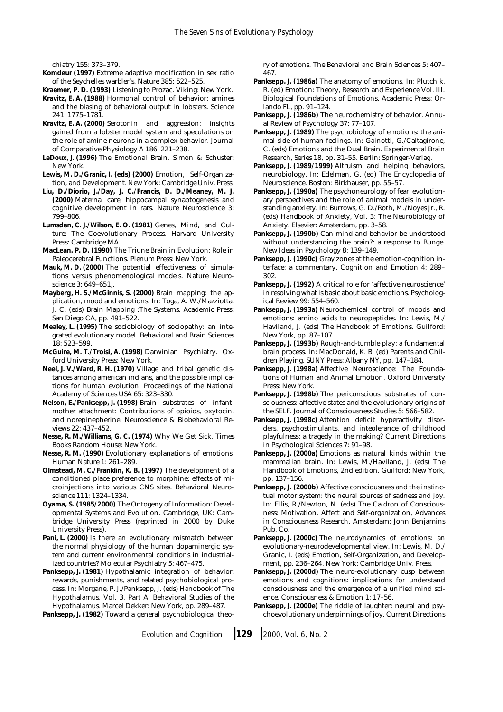chiatry 155: 373–379.

- **Komdeur (1997)** Extreme adaptive modification in sex ratio of the Seychelles warbler's. Nature 385: 522–525.
- **Kraemer, P. D. (1993)** Listening to Prozac. Viking: New York.
- **Kravitz, E. A. (1988)** Hormonal control of behavior: amines and the biasing of behavioral output in lobsters. Science 241: 1775–1781.
- **Kravitz, E. A. (2000)** Serotonin and aggression: insights gained from a lobster model system and speculations on the role of amine neurons in a complex behavior. Journal of Comparative Physiology A 186: 221–238.
- **LeDoux, J. (1996)** The Emotional Brain. Simon & Schuster: New York.
- **Lewis, M. D./Granic, I. (eds) (2000)** Emotion, Self-Organization, and Development. New York: Cambridge Univ. Press.
- **Liu, D./Diorio, J./Day, J. C./Francis, D. D./Meaney, M. J. (2000)** Maternal care, hippocampal synaptogenesis and cognitive development in rats. Nature Neuroscience 3: 799–806.
- **Lumsden, C. J./Wilson, E. O. (1981)** Genes, Mind, and Culture: The Coevolutionary Process. Harvard University Press: Cambridge MA.
- **MacLean, P. D. (1990)** The Triune Brain in Evolution: Role in Paleocerebral Functions. Plenum Press: New York.
- **Mauk, M. D. (2000)** The potential effectiveness of simulations versus phenomenological models. Nature Neuroscience 3: 649–651,.
- **Mayberg, H. S./McGinnis, S. (2000)** Brain mapping: the application, mood and emotions. In: Toga, A. W./Mazziotta, J. C. (eds) Brain Mapping :The Systems. Academic Press: San Diego CA, pp. 491–522.
- **Mealey, L. (1995)** The sociobiology of sociopathy: an integrated evolutionary model. Behavioral and Brain Sciences 18: 523–599.
- **McGuire, M. T./Troisi, A. (1998)** Darwinian Psychiatry. Oxford University Press: New York.
- **Neel, J. V./Ward, R. H. (1970)** Village and tribal genetic distances among american indians, and the possible implications for human evolution. Proceedings of the National Academy of Sciences USA 65: 323–330.
- **Nelson, E./Panksepp, J. (1998)** Brain substrates of infantmother attachment: Contributions of opioids, oxytocin, and norepinepherine. Neuroscience & Biobehavioral Reviews 22: 437–452.
- **Nesse, R. M./Williams, G. C. (1974)** Why We Get Sick. Times Books Random House: New York.
- **Nesse, R. M. (1990)** Evolutionary explanations of emotions. Human Nature 1: 261–289.
- **Olmstead, M. C./Franklin, K. B. (1997)** The development of a conditioned place preference to morphine: effects of microinjections into various CNS sites. Behavioral Neuroscience 111: 1324–1334.
- **Oyama, S. (1985/2000)** The Ontogeny of Information: Developmental Systems and Evolution. Cambridge, UK: Cambridge University Press (reprinted in 2000 by Duke University Press).
- **Pani, L. (2000)** Is there an evolutionary mismatch between the normal physiology of the human dopaminergic system and current environmental conditions in industrialized countries? Molecular Psychiatry 5: 467–475.
- **Panksepp, J. (1981)** Hypothalamic integration of behavior: rewards, punishments, and related psychobiological process. In: Morgane, P. J./Panksepp, J. (eds) Handbook of The Hypothalamus, Vol. 3, Part A. Behavioral Studies of the Hypothalamus. Marcel Dekker: New York, pp. 289–487.
- **Panksepp, J. (1982)** Toward a general psychobiological theo-

ry of emotions. The Behavioral and Brain Sciences 5: 407– 467.

- **Panksepp, J. (1986a)** The anatomy of emotions. In: Plutchik, R. (ed) Emotion: Theory, Research and Experience Vol. III. Biological Foundations of Emotions. Academic Press: Orlando FL, pp. 91–124.
- **Panksepp, J. (1986b)** The neurochemistry of behavior. Annual Review of Psychology 37: 77–107.
- **Panksepp, J. (1989)** The psychobiology of emotions: the animal side of human feelings. In: Gainotti, G./Caltagirone, C. (eds) Emotions and the Dual Brain. Experimental Brain Research, Series 18, pp. 31–55. Berlin: Springer-Verlag.
- **Panksepp, J. (1989/1999)** Altruism and helping behaviors, neurobiology. In: Edelman, G. (ed) The Encyclopedia of Neuroscience. Boston: Birkhauser, pp. 55–57.
- **Panksepp, J. (1990a)** The psychoneurology of fear: evolutionary perspectives and the role of animal models in understanding anxiety. In: Burrows, G. D./Roth, M./Noyes Jr., R. (eds) Handbook of Anxiety, Vol. 3: The Neurobiology of Anxiety. Elsevier: Amsterdam, pp. 3–58.
- **Panksepp, J. (1990b)** Can mind and behavior be understood without understanding the brain?: a response to Bunge. New Ideas in Psychology 8: 139–149.
- **Panksepp, J. (1990c)** Gray zones at the emotion-cognition interface: a commentary. Cognition and Emotion 4: 289– 302.
- **Panksepp, J. (1992)** A critical role for 'affective neuroscience' in resolving what is basic about basic emotions. Psychological Review 99: 554–560.
- **Panksepp, J. (1993a)** Neurochemical control of moods and emotions: amino acids to neuropeptides. In: Lewis, M./ Haviland, J. (eds) The Handbook of Emotions. Guilford: New York, pp. 87–107.
- **Panksepp, J. (1993b)** Rough-and-tumble play: a fundamental brain process. In: MacDonald, K. B. (ed) Parents and Children Playing. SUNY Press: Albany NY, pp. 147–184.
- **Panksepp, J. (1998a)** Affective Neuroscience: The Foundations of Human and Animal Emotion. Oxford University Press: New York.
- **Panksepp, J. (1998b)** The periconscious substrates of consciousness: affective states and the evolutionary origins of the SELF. Journal of Consciousness Studies 5: 566–582.
- **Panksepp, J. (1998c)** Attention deficit hyperactivity disorders, psychostimulants, and inteolerance of childhood playfulness: a tragedy in the making? Current Directions in Psychological Sciences 7: 91–98.
- **Panksepp, J. (2000a)** Emotions as natural kinds within the mammalian brain. In: Lewis, M./Haviland, J. (eds) The Handbook of Emotions, 2nd edition. Guilford: New York, pp. 137–156.
- **Panksepp, J. (2000b)** Affective consciousness and the instinctual motor system: the neural sources of sadness and joy. In: Ellis, R./Newton, N. (eds) The Caldron of Consciousness: Motivation, Affect and Self-organization, Advances in Consciousness Research. Amsterdam: John Benjamins Pub. Co.
- **Panksepp, J. (2000c)** The neurodynamics of emotions: an evolutionary-neurodevelopmental view. In: Lewis, M. D./ Granic, I. (eds) Emotion, Self-Organization, and Development, pp. 236–264. New York: Cambridge Univ. Press.
- **Panksepp, J. (2000d)** The neuro-evolutionary cusp between emotions and cognitions: implications for understand consciousness and the emergence of a unified mind science. Consciousness & Emotion 1: 17–56.
- **Panksepp, J. (2000e)** The riddle of laughter: neural and psychoevolutionary underpinnings of joy. Current Directions

*Evolution and Cognition* ❘ **<sup>129</sup>** ❘ *2000, Vol. 6, No. 2*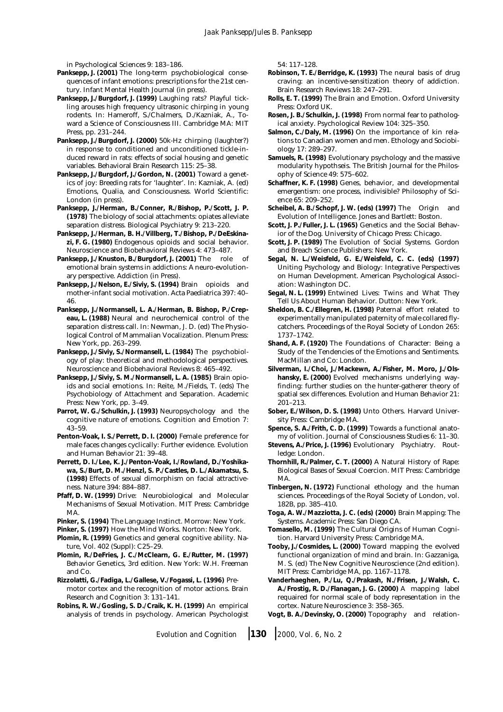in Psychological Sciences 9: 183–186.

- **Panksepp, J. (2001)** The long-term psychobiological consequences of infant emotions: prescriptions for the 21st century. Infant Mental Health Journal (in press).
- **Panksepp, J./Burgdorf, J. (1999)** Laughing rats? Playful tickling arouses high frequency ultrasonic chirping in young rodents. In: Hameroff, S./Chalmers, D./Kazniak, A., Toward a Science of Consciousness III. Cambridge MA: MIT Press, pp. 231–244.
- **Panksepp, J./Burgdorf, J. (2000)** 50k-Hz chirping (laughter?) in response to conditioned and unconditioned tickle-induced reward in rats: effects of social housing and genetic variables. Behavioral Brain Research 115: 25–38.
- **Panksepp, J./Burgdorf, J./Gordon, N. (2001)** Toward a genetics of joy: Breeding rats for 'laughter'. In: Kazniak, A. (ed) Emotions, Qualia, and Consciousness. World Scientific: London (in press).
- **Panksepp, J./Herman, B./Conner, R./Bishop, P./Scott, J. P. (1978)** The biology of social attachments: opiates alleviate separation distress. Biological Psychiatry 9: 213–220.
- **Panksepp, J./Herman, B. H./Villberg, T./Bishop, P./DeEskinazi, F. G. (1980)** Endogenous opioids and social behavior. Neuroscience and Biobehavioral Reviews 4: 473–487.
- **Panksepp, J./Knuston, B./Burgdorf, J. (2001)** The role of emotional brain systems in addictions: A neuro-evolutionary perspective. Addiction (in Press).
- **Panksepp, J./Nelson, E./Siviy, S. (1994)** Brain opioids and mother-infant social motivation. Acta Paediatrica 397: 40– 46.
- **Panksepp, J./Normansell, L. A./Herman, B. Bishop, P./Crepeau, L. (1988)** Neural and neurochemical control of the separation distress call. In: Newman, J. D. (ed) The Physiological Control of Mammalian Vocalization. Plenum Press: New York, pp. 263–299.
- **Panksepp, J./Siviy, S./Normansell, L. (1984)** The psychobiology of play: theoretical and methodological perspectives. Neuroscience and Biobehavioral Reviews 8: 465–492.
- **Panksepp, J./Siviy, S. M./Normansell, L. A. (1985)** Brain opioids and social emotions. In: Reite, M./Fields, T. (eds) The Psychobiology of Attachment and Separation. Academic Press: New York, pp. 3–49.
- **Parrot, W. G./Schulkin, J. (1993)** Neuropsychology and the cognitive nature of emotions. Cognition and Emotion 7: 43–59.
- **Penton-Voak, I. S./Perrett, D. I. (2000)** Female preference for male faces changes cyclically: Further evidence. Evolution and Human Behavior 21: 39–48.
- **Perrett, D. I./Lee, K. J./Penton-Voak, I./Rowland, D./Yoshikawa, S./Burt, D. M./Henzl, S. P./Castles, D. L./Akamatsu, S. (1998)** Effects of sexual dimorphism on facial attractiveness. Nature 394: 884–887.
- **Pfaff, D. W. (1999)** Drive: Neurobiological and Molecular Mechanisms of Sexual Motivation. MIT Press: Cambridge MA.
- **Pinker, S. (1994)** The Language Instinct. Morrow: New York.
- **Pinker, S. (1997)** How the Mind Works. Norton: New York.
- **Plomin, R. (1999)** Genetics and general cognitive ability. Nature, Vol. 402 (Suppl): C25–29.
- **Plomin, R./DeFries, J. C./McClearn, G. E./Rutter, M. (1997)** Behavior Genetics, 3rd edition. New York: W.H. Freeman and Co.
- **Rizzolatti, G./Fadiga, L./Gallese, V./Fogassi, L. (1996)** Premotor cortex and the recognition of motor actions. Brain Research and Cognition 3: 131–141.
- **Robins, R. W./Gosling, S. D./Craik, K. H. (1999)** An empirical analysis of trends in psychology. American Psychologist

54: 117–128.

- **Robinson, T. E./Berridge, K. (1993)** The neural basis of drug craving: an incentive-sensitization theory of addiction. Brain Research Reviews 18: 247–291.
- **Rolls, E. T. (1999)** The Brain and Emotion. Oxford University Press: Oxford UK.
- **Rosen, J. B./Schulkin, J. (1998)** From normal fear to pathological anxiety. Psychological Review 104: 325–350.
- **Salmon, C./Daly, M. (1996)** On the importance of kin relations to Canadian women and men. Ethology and Sociobiology 17: 289–297.
- **Samuels, R. (1998)** Evolutionary psychology and the massive modularity hypothseis. The British Journal for the Philosophy of Science 49: 575–602.
- **Schaffner, K. F. (1998)** Genes, behavior, and developmental emergentism: one process, indivisible? Philosophy of Science 65: 209–252.
- **Scheibel, A. B./Schopf, J. W. (eds) (1997)** The Origin and Evolution of Intelligence. Jones and Bartlett: Boston.
- **Scott, J. P./Fuller, J. L. (1965)** Genetics and the Social Behavior of the Dog. University of Chicago Press: Chicago.
- **Scott, J. P. (1989)** The Evolution of Social Systems. Gordon and Breach Science Publishers: New York.
- **Segal, N. L./Weisfeld, G. E./Weisfeld, C. C. (eds) (1997)** Uniting Psychology and Biology: Integrative Perspectives on Human Development. American Psychological Association: Washington DC.
- **Segal, N. L. (1999)** Entwined Lives: Twins and What They Tell Us About Human Behavior. Dutton: New York.
- **Sheldon, B. C./Ellegren, H. (1998)** Paternal effort related to experimentally manipulated paternity of male collared flycatchers. Proceedings of the Royal Society of London 265: 1737–1742.
- **Shand, A. F. (1920)** The Foundations of Character: Being a Study of the Tendencies of the Emotions and Sentiments. MacMillan and Co: London.
- **Silverman, I./Choi, J./Mackewn, A./Fisher, M. Moro, J./Olshansky, E. (2000)** Evolved mechanisms underlying wayfinding: further studies on the hunter-gatherer theory of spatial sex differences. Evolution and Human Behavior 21: 201–213.
- **Sober, E./Wilson, D. S. (1998)** Unto Others. Harvard University Press: Cambridge MA.
- **Spence, S. A./Frith, C. D. (1999)** Towards a functional anatomy of volition. Journal of Consciousness Studies 6: 11–30.
- **Stevens, A./Price, J. (1996)** Evolutionary Psychiatry. Routledge: London.
- **Thornhill, R./Palmer, C. T. (2000)** A Natural History of Rape: Biological Bases of Sexual Coercion. MIT Press: Cambridge MA.
- **Tinbergen, N. (1972)** Functional ethology and the human sciences. Proceedings of the Royal Society of London, vol. 182B, pp. 385–410.
- **Toga, A. W./Mazziotta, J. C. (eds) (2000)** Brain Mapping: The Systems. Academic Press: San Diego CA.
- **Tomasello, M. (1999)** The Cultural Origins of Human Cognition. Harvard University Press: Cambridge MA.
- **Tooby, J./Cosmides, L. (2000)** Toward mapping the evolved functional organization of mind and brain. In: Gazzaniga, M. S. (ed) The New Cognitive Neuroscience (2nd edition). MIT Press: Cambridge MA, pp. 1167–1178.
- **Vanderhaeghen, P./Lu, Q./Prakash, N./Frisen, J./Walsh, C. A./Frostig, R. D./Flanagan, J. G. (2000)** A mapping label requaired for normal scale of body representation in the cortex. Nature Neuroscience 3: 358–365.
- **Vogt, B. A./Devinsky, O. (2000)** Topography and relation-

*Evolution and Cognition* ❘ **<sup>130</sup>** ❘ *2000, Vol. 6, No. 2*